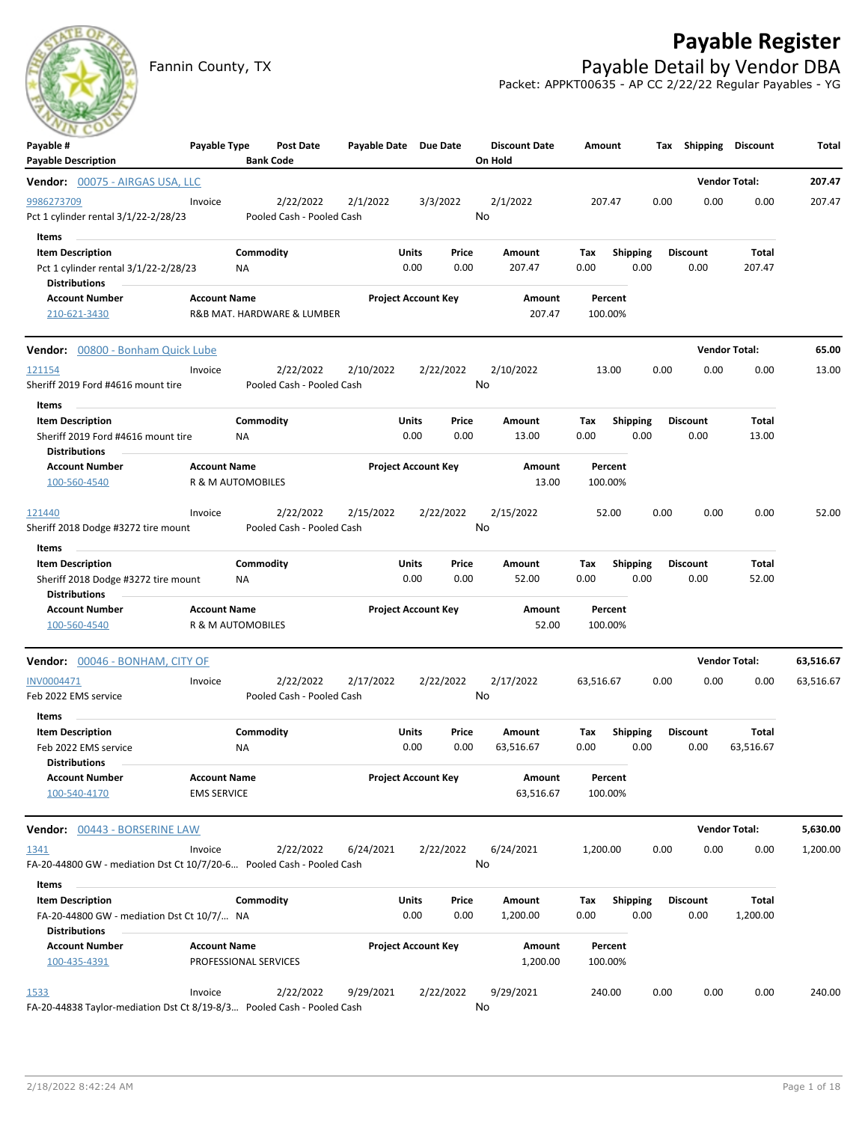# **Payable Register**



Fannin County, TX **Payable Detail by Vendor DBA** Packet: APPKT00635 - AP CC 2/22/22 Regular Payables - YG

| $\sim$<br>Payable #<br><b>Payable Description</b>                                                | Payable Type                                 | <b>Bank Code</b> | Post Date                              | Payable Date Due Date |                            |               | <b>Discount Date</b><br>On Hold | Amount             |                         | Тах  | Shipping                | Discount             | Total     |
|--------------------------------------------------------------------------------------------------|----------------------------------------------|------------------|----------------------------------------|-----------------------|----------------------------|---------------|---------------------------------|--------------------|-------------------------|------|-------------------------|----------------------|-----------|
| <b>Vendor:</b> 00075 - AIRGAS USA, LLC                                                           |                                              |                  |                                        |                       |                            |               |                                 |                    |                         |      |                         | <b>Vendor Total:</b> | 207.47    |
| 9986273709<br>Pct 1 cylinder rental 3/1/22-2/28/23                                               | Invoice                                      |                  | 2/22/2022<br>Pooled Cash - Pooled Cash | 2/1/2022              |                            | 3/3/2022      | 2/1/2022<br>No                  | 207.47             |                         | 0.00 | 0.00                    | 0.00                 | 207.47    |
| Items<br><b>Item Description</b><br>Pct 1 cylinder rental 3/1/22-2/28/23<br><b>Distributions</b> |                                              | Commodity<br>ΝA  |                                        |                       | Units<br>0.00              | Price<br>0.00 | Amount<br>207.47                | Tax<br>0.00        | <b>Shipping</b><br>0.00 |      | Discount<br>0.00        | Total<br>207.47      |           |
| <b>Account Number</b><br>210-621-3430                                                            | <b>Account Name</b>                          |                  | R&B MAT. HARDWARE & LUMBER             |                       | <b>Project Account Key</b> |               | Amount<br>207.47                | Percent<br>100.00% |                         |      |                         |                      |           |
| Vendor: 00800 - Bonham Quick Lube                                                                |                                              |                  |                                        |                       |                            |               |                                 |                    |                         |      |                         | <b>Vendor Total:</b> | 65.00     |
| 121154<br>Sheriff 2019 Ford #4616 mount tire                                                     | Invoice                                      |                  | 2/22/2022<br>Pooled Cash - Pooled Cash | 2/10/2022             |                            | 2/22/2022     | 2/10/2022<br>No                 | 13.00              |                         | 0.00 | 0.00                    | 0.00                 | 13.00     |
| Items<br><b>Item Description</b>                                                                 |                                              | Commodity        |                                        |                       | Units                      | Price         | Amount                          | Tax                | <b>Shipping</b>         |      | Discount                | Total                |           |
| Sheriff 2019 Ford #4616 mount tire<br><b>Distributions</b>                                       |                                              | ΝA               |                                        |                       | 0.00                       | 0.00          | 13.00                           | 0.00               | 0.00                    |      | 0.00                    | 13.00                |           |
| <b>Account Number</b><br>100-560-4540                                                            | <b>Account Name</b><br>R & M AUTOMOBILES     |                  |                                        |                       | <b>Project Account Key</b> |               | Amount<br>13.00                 | Percent<br>100.00% |                         |      |                         |                      |           |
| 121440<br>Sheriff 2018 Dodge #3272 tire mount                                                    | Invoice                                      |                  | 2/22/2022<br>Pooled Cash - Pooled Cash | 2/15/2022             |                            | 2/22/2022     | 2/15/2022<br>No                 | 52.00              |                         | 0.00 | 0.00                    | 0.00                 | 52.00     |
| Items                                                                                            |                                              |                  |                                        |                       |                            |               |                                 |                    |                         |      |                         |                      |           |
| <b>Item Description</b><br>Sheriff 2018 Dodge #3272 tire mount<br><b>Distributions</b>           |                                              | Commodity<br>ΝA  |                                        |                       | Units<br>0.00              | Price<br>0.00 | Amount<br>52.00                 | Tax<br>0.00        | <b>Shipping</b><br>0.00 |      | <b>Discount</b><br>0.00 | Total<br>52.00       |           |
| <b>Account Number</b><br>100-560-4540                                                            | <b>Account Name</b><br>R & M AUTOMOBILES     |                  |                                        |                       | <b>Project Account Key</b> |               | Amount<br>52.00                 | Percent<br>100.00% |                         |      |                         |                      |           |
| Vendor: 00046 - BONHAM, CITY OF                                                                  |                                              |                  |                                        |                       |                            |               |                                 |                    |                         |      |                         | <b>Vendor Total:</b> | 63,516.67 |
| INV0004471<br>Feb 2022 EMS service<br>Items                                                      | Invoice                                      |                  | 2/22/2022<br>Pooled Cash - Pooled Cash | 2/17/2022             |                            | 2/22/2022     | 2/17/2022<br>No                 | 63,516.67          |                         | 0.00 | 0.00                    | 0.00                 | 63,516.67 |
| <b>Item Description</b><br>Feb 2022 EMS service<br><b>Distributions</b>                          |                                              | Commodity<br>ΝA  |                                        |                       | Units<br>0.00              | Price<br>0.00 | Amount<br>63,516.67             | Tax<br>0.00        | <b>Shipping</b><br>0.00 |      | <b>Discount</b><br>0.00 | Total<br>63,516.67   |           |
| <b>Account Number</b><br>100-540-4170                                                            | <b>Account Name</b><br><b>EMS SERVICE</b>    |                  |                                        |                       | <b>Project Account Key</b> |               | Amount<br>63,516.67             | Percent<br>100.00% |                         |      |                         |                      |           |
| Vendor: 00443 - BORSERINE LAW                                                                    |                                              |                  |                                        |                       |                            |               |                                 |                    |                         |      |                         | <b>Vendor Total:</b> | 5,630.00  |
| <u> 1341 </u><br>FA-20-44800 GW - mediation Dst Ct 10/7/20-6 Pooled Cash - Pooled Cash           | Invoice                                      |                  | 2/22/2022                              | 6/24/2021             |                            | 2/22/2022     | 6/24/2021<br>No                 | 1,200.00           |                         | 0.00 | 0.00                    | 0.00                 | 1,200.00  |
| Items                                                                                            |                                              |                  |                                        |                       |                            |               |                                 |                    |                         |      |                         |                      |           |
| <b>Item Description</b><br>FA-20-44800 GW - mediation Dst Ct 10/7/ NA<br><b>Distributions</b>    |                                              | Commodity        |                                        |                       | Units<br>0.00              | Price<br>0.00 | Amount<br>1,200.00              | Tax<br>0.00        | <b>Shipping</b><br>0.00 |      | <b>Discount</b><br>0.00 | Total<br>1,200.00    |           |
| <b>Account Number</b><br>100-435-4391                                                            | <b>Account Name</b><br>PROFESSIONAL SERVICES |                  |                                        |                       | <b>Project Account Key</b> |               | Amount<br>1,200.00              | Percent<br>100.00% |                         |      |                         |                      |           |
| 1533<br>FA-20-44838 Taylor-mediation Dst Ct 8/19-8/3 Pooled Cash - Pooled Cash                   | Invoice                                      |                  | 2/22/2022                              | 9/29/2021             |                            | 2/22/2022     | 9/29/2021<br>No                 | 240.00             |                         | 0.00 | 0.00                    | 0.00                 | 240.00    |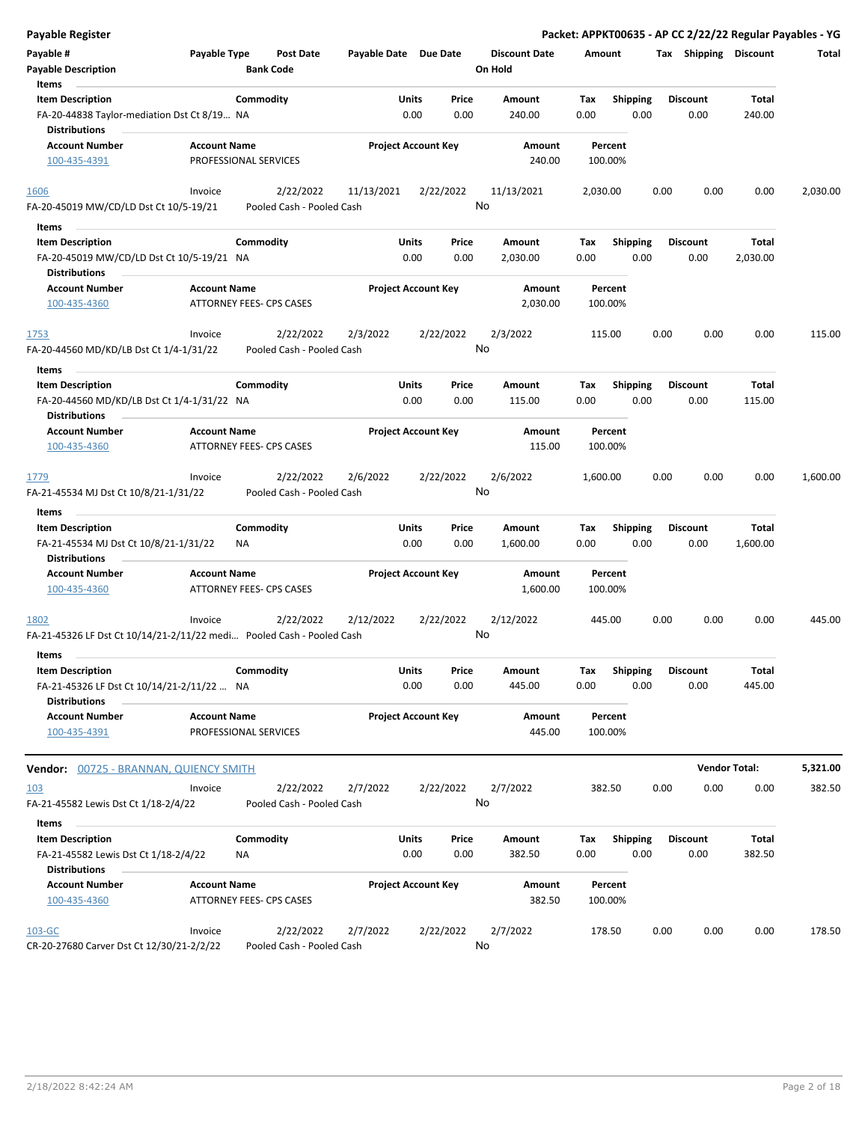| <b>Payable Register</b>                                                        |                     |                                        |                       |                            |                                 |                    |                 | Packet: APPKT00635 - AP CC 2/22/22 Regular Payables - YG |                      |          |
|--------------------------------------------------------------------------------|---------------------|----------------------------------------|-----------------------|----------------------------|---------------------------------|--------------------|-----------------|----------------------------------------------------------|----------------------|----------|
| Payable #<br><b>Payable Description</b>                                        | Payable Type        | Post Date<br><b>Bank Code</b>          | Payable Date Due Date |                            | <b>Discount Date</b><br>On Hold | Amount             |                 | Tax Shipping Discount                                    |                      | Total    |
| Items                                                                          |                     |                                        |                       |                            |                                 |                    |                 |                                                          |                      |          |
| <b>Item Description</b>                                                        |                     | Commodity                              |                       | Units<br>Price             | Amount                          | Tax                | <b>Shipping</b> | Discount                                                 | Total                |          |
| FA-20-44838 Taylor-mediation Dst Ct 8/19 NA<br><b>Distributions</b>            |                     |                                        |                       | 0.00<br>0.00               | 240.00                          | 0.00               | 0.00            | 0.00                                                     | 240.00               |          |
| <b>Account Number</b>                                                          | <b>Account Name</b> |                                        |                       | <b>Project Account Key</b> | Amount                          | Percent            |                 |                                                          |                      |          |
| 100-435-4391                                                                   |                     | PROFESSIONAL SERVICES                  |                       |                            | 240.00                          | 100.00%            |                 |                                                          |                      |          |
| 1606                                                                           | Invoice             | 2/22/2022                              | 11/13/2021            | 2/22/2022                  | 11/13/2021                      | 2,030.00           |                 | 0.00<br>0.00                                             | 0.00                 | 2,030.00 |
| FA-20-45019 MW/CD/LD Dst Ct 10/5-19/21                                         |                     | Pooled Cash - Pooled Cash              |                       |                            | No                              |                    |                 |                                                          |                      |          |
| Items                                                                          |                     |                                        |                       |                            |                                 |                    |                 |                                                          |                      |          |
| <b>Item Description</b>                                                        |                     | Commodity                              |                       | Units<br>Price             | Amount                          | Tax                | <b>Shipping</b> | <b>Discount</b>                                          | Total                |          |
| FA-20-45019 MW/CD/LD Dst Ct 10/5-19/21 NA<br><b>Distributions</b>              |                     |                                        |                       | 0.00<br>0.00               | 2,030.00                        | 0.00               | 0.00            | 0.00                                                     | 2,030.00             |          |
| <b>Account Number</b>                                                          | <b>Account Name</b> |                                        |                       | <b>Project Account Key</b> | Amount                          | Percent            |                 |                                                          |                      |          |
| 100-435-4360                                                                   |                     | ATTORNEY FEES- CPS CASES               |                       |                            | 2,030.00                        | 100.00%            |                 |                                                          |                      |          |
| <u>1753</u>                                                                    | Invoice             | 2/22/2022                              | 2/3/2022              | 2/22/2022                  | 2/3/2022                        | 115.00             |                 | 0.00<br>0.00                                             | 0.00                 | 115.00   |
| FA-20-44560 MD/KD/LB Dst Ct 1/4-1/31/22<br>Items                               |                     | Pooled Cash - Pooled Cash              |                       |                            | No                              |                    |                 |                                                          |                      |          |
| <b>Item Description</b>                                                        |                     | Commodity                              |                       | Units<br>Price             | Amount                          | Tax                | <b>Shipping</b> | <b>Discount</b>                                          | Total                |          |
|                                                                                |                     |                                        |                       |                            |                                 |                    |                 |                                                          |                      |          |
| FA-20-44560 MD/KD/LB Dst Ct 1/4-1/31/22 NA<br>Distributions                    |                     |                                        |                       | 0.00<br>0.00               | 115.00                          | 0.00               | 0.00            | 0.00                                                     | 115.00               |          |
| <b>Account Number</b><br>100-435-4360                                          | <b>Account Name</b> | ATTORNEY FEES- CPS CASES               |                       | <b>Project Account Key</b> | Amount<br>115.00                | Percent<br>100.00% |                 |                                                          |                      |          |
| 1779                                                                           | Invoice             | 2/22/2022                              | 2/6/2022              | 2/22/2022                  | 2/6/2022                        | 1,600.00           |                 | 0.00<br>0.00                                             | 0.00                 | 1,600.00 |
| FA-21-45534 MJ Dst Ct 10/8/21-1/31/22                                          |                     | Pooled Cash - Pooled Cash              |                       |                            | No                              |                    |                 |                                                          |                      |          |
| Items                                                                          |                     |                                        |                       |                            |                                 |                    |                 |                                                          |                      |          |
| <b>Item Description</b>                                                        |                     | Commodity                              |                       | Units<br>Price             | Amount                          | Tax                | <b>Shipping</b> | <b>Discount</b>                                          | Total                |          |
| FA-21-45534 MJ Dst Ct 10/8/21-1/31/22<br><b>Distributions</b>                  |                     | ΝA                                     |                       | 0.00<br>0.00               | 1,600.00                        | 0.00               | 0.00            | 0.00                                                     | 1,600.00             |          |
| <b>Account Number</b><br>100-435-4360                                          | <b>Account Name</b> | ATTORNEY FEES- CPS CASES               |                       | <b>Project Account Key</b> | Amount<br>1,600.00              | Percent<br>100.00% |                 |                                                          |                      |          |
| 1802                                                                           | Invoice             | 2/22/2022                              | 2/12/2022             | 2/22/2022                  | 2/12/2022                       | 445.00             |                 | 0.00<br>0.00                                             | 0.00                 | 445.00   |
| FA-21-45326 LF Dst Ct 10/14/21-2/11/22 medi Pooled Cash - Pooled Cash<br>Items |                     |                                        |                       |                            | No                              |                    |                 |                                                          |                      |          |
| <b>Item Description</b>                                                        |                     | Commodity                              |                       | Units<br>Price             | Amount                          | Tax                | <b>Shipping</b> | Discount                                                 | Total                |          |
| FA-21-45326 LF Dst Ct 10/14/21-2/11/22  NA<br><b>Distributions</b>             |                     |                                        |                       | 0.00<br>0.00               | 445.00                          | 0.00               | 0.00            | 0.00                                                     | 445.00               |          |
| <b>Account Number</b>                                                          | <b>Account Name</b> |                                        |                       | <b>Project Account Key</b> | Amount                          | Percent            |                 |                                                          |                      |          |
| 100-435-4391                                                                   |                     | PROFESSIONAL SERVICES                  |                       |                            | 445.00                          | 100.00%            |                 |                                                          |                      |          |
| Vendor: 00725 - BRANNAN, QUIENCY SMITH                                         |                     |                                        |                       |                            |                                 |                    |                 |                                                          | <b>Vendor Total:</b> | 5,321.00 |
| <u>103</u>                                                                     | Invoice             | 2/22/2022                              | 2/7/2022              | 2/22/2022                  | 2/7/2022                        | 382.50             |                 | 0.00<br>0.00                                             | 0.00                 | 382.50   |
| FA-21-45582 Lewis Dst Ct 1/18-2/4/22                                           |                     | Pooled Cash - Pooled Cash              |                       |                            | No                              |                    |                 |                                                          |                      |          |
| Items                                                                          |                     |                                        |                       |                            |                                 |                    |                 |                                                          |                      |          |
| <b>Item Description</b>                                                        |                     | Commodity                              |                       | Units<br>Price             | Amount                          | Tax                | Shipping        | <b>Discount</b>                                          | Total                |          |
| FA-21-45582 Lewis Dst Ct 1/18-2/4/22<br><b>Distributions</b>                   |                     | NA                                     |                       | 0.00<br>0.00               | 382.50                          | 0.00               | 0.00            | 0.00                                                     | 382.50               |          |
| <b>Account Number</b>                                                          | <b>Account Name</b> |                                        |                       | <b>Project Account Key</b> | Amount                          | Percent            |                 |                                                          |                      |          |
| 100-435-4360                                                                   |                     | ATTORNEY FEES- CPS CASES               |                       |                            | 382.50                          | 100.00%            |                 |                                                          |                      |          |
| 103-GC<br>CR-20-27680 Carver Dst Ct 12/30/21-2/2/22                            | Invoice             | 2/22/2022<br>Pooled Cash - Pooled Cash | 2/7/2022              | 2/22/2022                  | 2/7/2022<br>No                  | 178.50             |                 | 0.00<br>0.00                                             | 0.00                 | 178.50   |
|                                                                                |                     |                                        |                       |                            |                                 |                    |                 |                                                          |                      |          |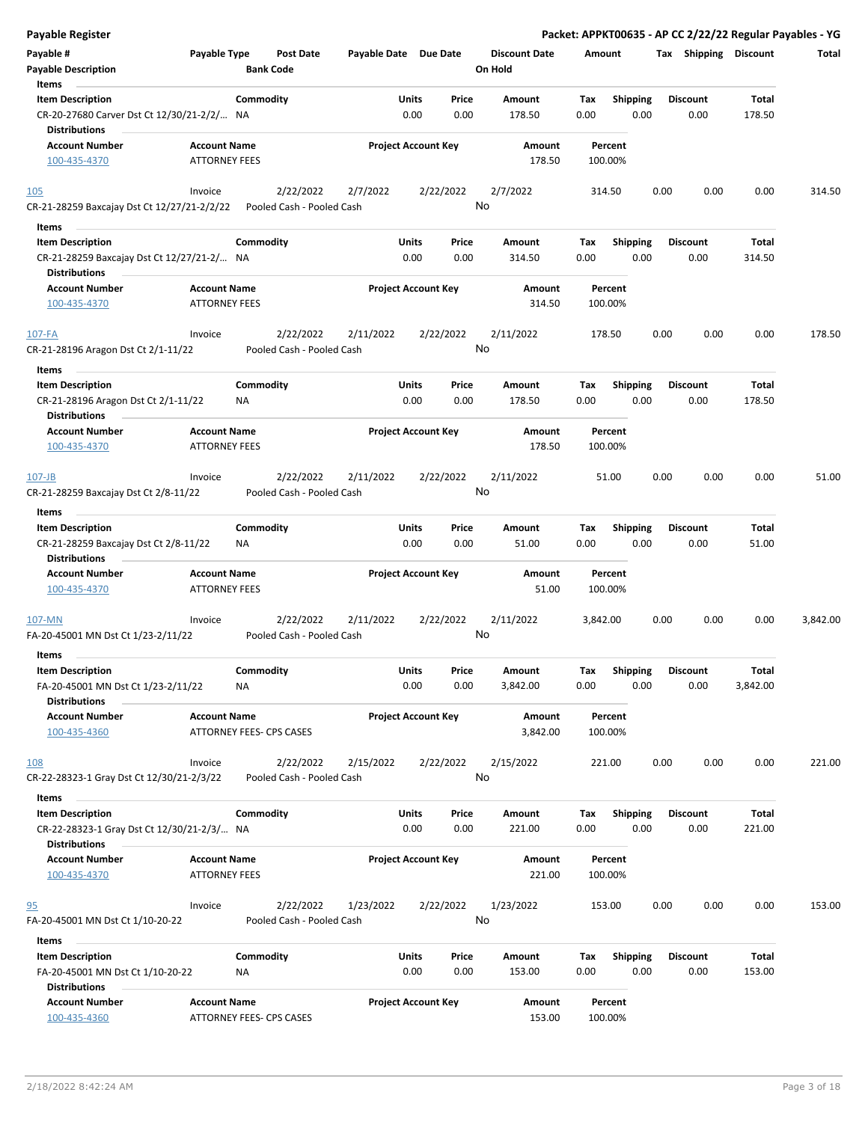| <b>Payable Register</b>                                            |                                             |                  |                                        |                       |                            |           |                                 |          |                    |      |      |                       |          | Packet: APPKT00635 - AP CC 2/22/22 Regular Payables - YG |
|--------------------------------------------------------------------|---------------------------------------------|------------------|----------------------------------------|-----------------------|----------------------------|-----------|---------------------------------|----------|--------------------|------|------|-----------------------|----------|----------------------------------------------------------|
| Payable #<br><b>Payable Description</b>                            | Payable Type                                | <b>Bank Code</b> | Post Date                              | Payable Date Due Date |                            |           | <b>Discount Date</b><br>On Hold | Amount   |                    |      |      | Tax Shipping Discount |          | Total                                                    |
| Items                                                              |                                             |                  |                                        |                       |                            |           |                                 |          |                    |      |      |                       |          |                                                          |
| <b>Item Description</b>                                            |                                             | Commodity        |                                        |                       | Units                      | Price     | Amount                          | Tax      | <b>Shipping</b>    |      |      | <b>Discount</b>       | Total    |                                                          |
| CR-20-27680 Carver Dst Ct 12/30/21-2/2/ NA<br><b>Distributions</b> |                                             |                  |                                        |                       | 0.00                       | 0.00      | 178.50                          | 0.00     |                    | 0.00 |      | 0.00                  | 178.50   |                                                          |
| <b>Account Number</b>                                              | <b>Account Name</b>                         |                  |                                        |                       | <b>Project Account Key</b> |           | Amount                          |          | Percent            |      |      |                       |          |                                                          |
| 100-435-4370                                                       | <b>ATTORNEY FEES</b>                        |                  |                                        |                       |                            |           | 178.50                          |          | 100.00%            |      |      |                       |          |                                                          |
| 105                                                                | Invoice                                     |                  | 2/22/2022                              | 2/7/2022              |                            | 2/22/2022 | 2/7/2022                        |          | 314.50             |      | 0.00 | 0.00                  | 0.00     | 314.50                                                   |
| CR-21-28259 Baxcajay Dst Ct 12/27/21-2/2/22                        |                                             |                  | Pooled Cash - Pooled Cash              |                       |                            |           | No                              |          |                    |      |      |                       |          |                                                          |
| Items                                                              |                                             |                  |                                        |                       |                            |           |                                 |          |                    |      |      |                       |          |                                                          |
| <b>Item Description</b>                                            |                                             | Commodity        |                                        |                       | Units                      | Price     | Amount                          | Tax      | <b>Shipping</b>    |      |      | <b>Discount</b>       | Total    |                                                          |
| CR-21-28259 Baxcajay Dst Ct 12/27/21-2/ NA<br>Distributions        |                                             |                  |                                        |                       | 0.00                       | 0.00      | 314.50                          | 0.00     |                    | 0.00 |      | 0.00                  | 314.50   |                                                          |
| <b>Account Number</b>                                              | <b>Account Name</b>                         |                  |                                        |                       | <b>Project Account Key</b> |           | Amount                          |          | Percent            |      |      |                       |          |                                                          |
| 100-435-4370                                                       | ATTORNEY FEES                               |                  |                                        |                       |                            |           | 314.50                          |          | 100.00%            |      |      |                       |          |                                                          |
| $107 - FA$<br>CR-21-28196 Aragon Dst Ct 2/1-11/22                  | Invoice                                     |                  | 2/22/2022<br>Pooled Cash - Pooled Cash | 2/11/2022             |                            | 2/22/2022 | 2/11/2022<br>No                 |          | 178.50             |      | 0.00 | 0.00                  | 0.00     | 178.50                                                   |
| Items                                                              |                                             |                  |                                        |                       |                            |           |                                 |          |                    |      |      |                       |          |                                                          |
| <b>Item Description</b>                                            |                                             | Commodity        |                                        |                       | Units                      | Price     | <b>Amount</b>                   | Tax      | <b>Shipping</b>    |      |      | <b>Discount</b>       | Total    |                                                          |
| CR-21-28196 Aragon Dst Ct 2/1-11/22<br><b>Distributions</b>        |                                             | <b>NA</b>        |                                        |                       | 0.00                       | 0.00      | 178.50                          | 0.00     |                    | 0.00 |      | 0.00                  | 178.50   |                                                          |
| Account Number                                                     | <b>Account Name</b>                         |                  |                                        |                       | <b>Project Account Key</b> |           | Amount                          |          | Percent            |      |      |                       |          |                                                          |
| 100-435-4370                                                       | <b>ATTORNEY FEES</b>                        |                  |                                        |                       |                            |           | 178.50                          |          | 100.00%            |      |      |                       |          |                                                          |
| $107 - JB$                                                         | Invoice                                     |                  | 2/22/2022                              | 2/11/2022             |                            | 2/22/2022 | 2/11/2022                       |          | 51.00              |      | 0.00 | 0.00                  | 0.00     | 51.00                                                    |
| CR-21-28259 Baxcajay Dst Ct 2/8-11/22                              |                                             |                  | Pooled Cash - Pooled Cash              |                       |                            |           | No                              |          |                    |      |      |                       |          |                                                          |
| Items                                                              |                                             |                  |                                        |                       |                            |           |                                 |          |                    |      |      |                       |          |                                                          |
| <b>Item Description</b>                                            |                                             | Commodity        |                                        |                       | Units                      | Price     | Amount                          | Tax      | <b>Shipping</b>    |      |      | <b>Discount</b>       | Total    |                                                          |
| CR-21-28259 Baxcajay Dst Ct 2/8-11/22<br><b>Distributions</b>      |                                             | ΝA               |                                        |                       | 0.00                       | 0.00      | 51.00                           | 0.00     |                    | 0.00 |      | 0.00                  | 51.00    |                                                          |
| <b>Account Number</b>                                              | <b>Account Name</b>                         |                  |                                        |                       | <b>Project Account Key</b> |           | Amount                          |          | Percent            |      |      |                       |          |                                                          |
| 100-435-4370                                                       | <b>ATTORNEY FEES</b>                        |                  |                                        |                       |                            |           | 51.00                           |          | 100.00%            |      |      |                       |          |                                                          |
| 107-MN                                                             | Invoice                                     |                  | 2/22/2022                              | 2/11/2022             |                            | 2/22/2022 | 2/11/2022                       | 3,842.00 |                    |      | 0.00 | 0.00                  | 0.00     | 3,842.00                                                 |
| FA-20-45001 MN Dst Ct 1/23-2/11/22                                 |                                             |                  | Pooled Cash - Pooled Cash              |                       |                            |           | No                              |          |                    |      |      |                       |          |                                                          |
| Items                                                              |                                             |                  |                                        |                       |                            |           |                                 |          |                    |      |      |                       |          |                                                          |
| <b>Item Description</b>                                            |                                             | Commodity        |                                        |                       | Units                      | Price     | Amount                          | Tax      | Shipping           |      |      | Discount              | Total    |                                                          |
| FA-20-45001 MN Dst Ct 1/23-2/11/22<br><b>Distributions</b>         |                                             | NA               |                                        |                       | 0.00                       | 0.00      | 3,842.00                        | 0.00     |                    | 0.00 |      | 0.00                  | 3,842.00 |                                                          |
| <b>Account Number</b>                                              | <b>Account Name</b>                         |                  |                                        |                       | <b>Project Account Key</b> |           | Amount                          |          | Percent            |      |      |                       |          |                                                          |
| 100-435-4360                                                       | ATTORNEY FEES- CPS CASES                    |                  |                                        |                       |                            |           | 3,842.00                        |          | 100.00%            |      |      |                       |          |                                                          |
| <u>108</u>                                                         | Invoice                                     |                  | 2/22/2022                              | 2/15/2022             |                            | 2/22/2022 | 2/15/2022                       |          | 221.00             |      | 0.00 | 0.00                  | 0.00     | 221.00                                                   |
| CR-22-28323-1 Gray Dst Ct 12/30/21-2/3/22                          |                                             |                  | Pooled Cash - Pooled Cash              |                       |                            |           | No                              |          |                    |      |      |                       |          |                                                          |
| Items                                                              |                                             |                  |                                        |                       |                            |           |                                 |          |                    |      |      |                       |          |                                                          |
| <b>Item Description</b>                                            |                                             | Commodity        |                                        |                       | Units                      | Price     | Amount                          | Tax      | <b>Shipping</b>    |      |      | Discount              | Total    |                                                          |
| CR-22-28323-1 Gray Dst Ct 12/30/21-2/3/ NA<br>Distributions        |                                             |                  |                                        |                       | 0.00                       | 0.00      | 221.00                          | 0.00     |                    | 0.00 |      | 0.00                  | 221.00   |                                                          |
| <b>Account Number</b><br>100-435-4370                              | <b>Account Name</b><br><b>ATTORNEY FEES</b> |                  |                                        |                       | <b>Project Account Key</b> |           | Amount<br>221.00                |          | Percent<br>100.00% |      |      |                       |          |                                                          |
| 95<br>FA-20-45001 MN Dst Ct 1/10-20-22                             | Invoice                                     |                  | 2/22/2022<br>Pooled Cash - Pooled Cash | 1/23/2022             |                            | 2/22/2022 | 1/23/2022<br>No                 |          | 153.00             |      | 0.00 | 0.00                  | 0.00     | 153.00                                                   |
| Items                                                              |                                             |                  |                                        |                       |                            |           |                                 |          |                    |      |      |                       |          |                                                          |
| <b>Item Description</b>                                            |                                             | Commodity        |                                        |                       | Units                      | Price     | Amount                          | Tax      | <b>Shipping</b>    |      |      | <b>Discount</b>       | Total    |                                                          |
| FA-20-45001 MN Dst Ct 1/10-20-22<br><b>Distributions</b>           |                                             | ΝA               |                                        |                       | 0.00                       | 0.00      | 153.00                          | 0.00     |                    | 0.00 |      | 0.00                  | 153.00   |                                                          |
| <b>Account Number</b>                                              | <b>Account Name</b>                         |                  |                                        |                       | <b>Project Account Key</b> |           | Amount                          |          | Percent            |      |      |                       |          |                                                          |
| 100-435-4360                                                       | ATTORNEY FEES- CPS CASES                    |                  |                                        |                       |                            |           | 153.00                          |          | 100.00%            |      |      |                       |          |                                                          |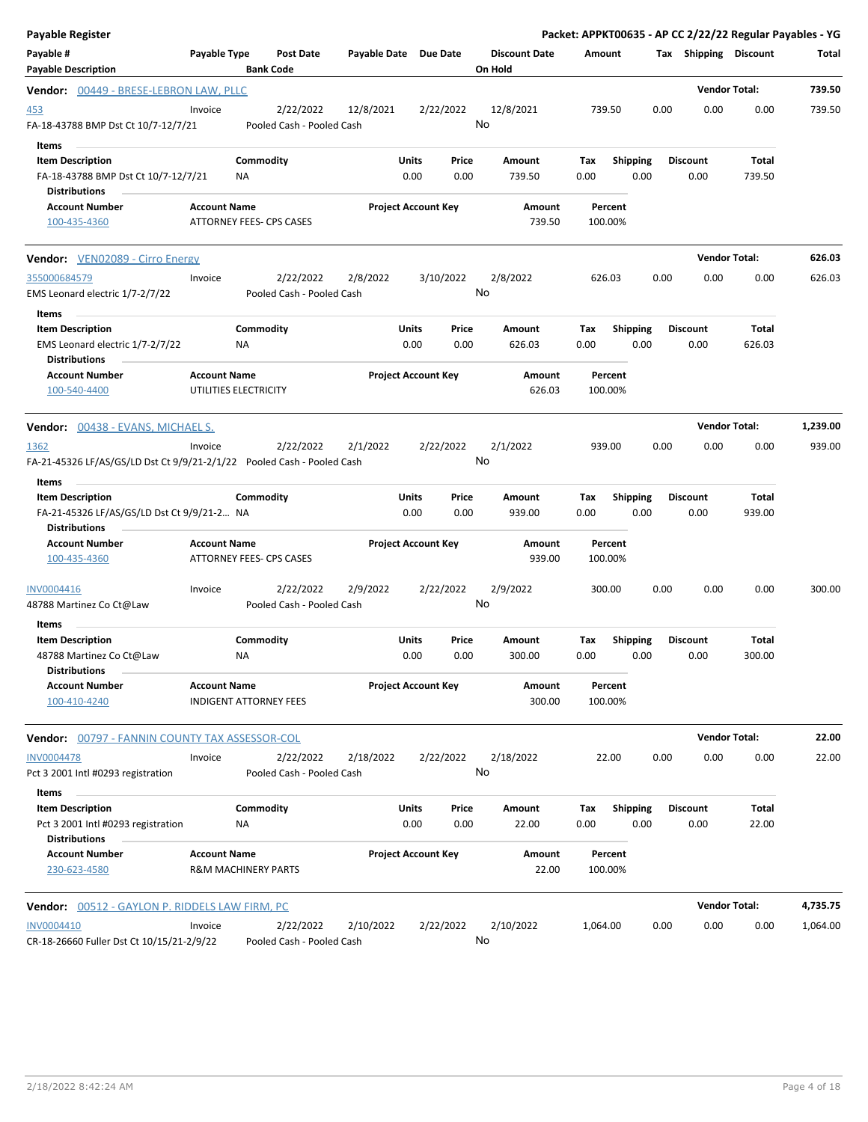| <b>Payable Register</b>                                                                                |                     |                                        |                       |                            |               |                                 |                    |                         |      |                         | Packet: APPKT00635 - AP CC 2/22/22 Regular Payables - YG |          |
|--------------------------------------------------------------------------------------------------------|---------------------|----------------------------------------|-----------------------|----------------------------|---------------|---------------------------------|--------------------|-------------------------|------|-------------------------|----------------------------------------------------------|----------|
| Payable #<br><b>Payable Description</b>                                                                | Payable Type        | Post Date<br><b>Bank Code</b>          | Payable Date Due Date |                            |               | <b>Discount Date</b><br>On Hold | Amount             |                         |      | Tax Shipping Discount   |                                                          | Total    |
| Vendor: 00449 - BRESE-LEBRON LAW, PLLC                                                                 |                     |                                        |                       |                            |               |                                 |                    |                         |      |                         | <b>Vendor Total:</b>                                     | 739.50   |
| 453<br>FA-18-43788 BMP Dst Ct 10/7-12/7/21                                                             | Invoice             | 2/22/2022<br>Pooled Cash - Pooled Cash | 12/8/2021             | 2/22/2022                  |               | 12/8/2021<br>No                 | 739.50             |                         | 0.00 | 0.00                    | 0.00                                                     | 739.50   |
| Items<br><b>Item Description</b><br>FA-18-43788 BMP Dst Ct 10/7-12/7/21<br><b>Distributions</b>        |                     | Commodity<br>ΝA                        |                       | <b>Units</b><br>0.00       | Price<br>0.00 | Amount<br>739.50                | Tax<br>0.00        | <b>Shipping</b><br>0.00 |      | <b>Discount</b><br>0.00 | Total<br>739.50                                          |          |
| <b>Account Number</b><br>100-435-4360                                                                  | <b>Account Name</b> | ATTORNEY FEES- CPS CASES               |                       | <b>Project Account Key</b> |               | Amount<br>739.50                | Percent<br>100.00% |                         |      |                         |                                                          |          |
| <b>Vendor:</b> VEN02089 - Cirro Energy                                                                 |                     |                                        |                       |                            |               |                                 |                    |                         |      |                         | <b>Vendor Total:</b>                                     | 626.03   |
| 355000684579<br>EMS Leonard electric 1/7-2/7/22                                                        | Invoice             | 2/22/2022<br>Pooled Cash - Pooled Cash | 2/8/2022              | 3/10/2022                  |               | 2/8/2022<br>No                  | 626.03             |                         | 0.00 | 0.00                    | 0.00                                                     | 626.03   |
| Items<br><b>Item Description</b><br>EMS Leonard electric 1/7-2/7/22<br><b>Distributions</b>            |                     | Commodity<br>ΝA                        |                       | <b>Units</b><br>0.00       | Price<br>0.00 | Amount<br>626.03                | Tax<br>0.00        | <b>Shipping</b><br>0.00 |      | <b>Discount</b><br>0.00 | Total<br>626.03                                          |          |
| <b>Account Number</b><br>100-540-4400                                                                  | <b>Account Name</b> | UTILITIES ELECTRICITY                  |                       | <b>Project Account Key</b> |               | Amount<br>626.03                | Percent<br>100.00% |                         |      |                         |                                                          |          |
| Vendor: 00438 - EVANS, MICHAEL S.                                                                      |                     |                                        |                       |                            |               |                                 |                    |                         |      |                         | <b>Vendor Total:</b>                                     | 1,239.00 |
| 1362<br>FA-21-45326 LF/AS/GS/LD Dst Ct 9/9/21-2/1/22    Pooled Cash - Pooled Cash                      | Invoice             | 2/22/2022                              | 2/1/2022              | 2/22/2022                  |               | 2/1/2022<br>No                  | 939.00             |                         | 0.00 | 0.00                    | 0.00                                                     | 939.00   |
| Items<br><b>Item Description</b><br>FA-21-45326 LF/AS/GS/LD Dst Ct 9/9/21-2 NA<br><b>Distributions</b> |                     | Commodity                              |                       | <b>Units</b><br>0.00       | Price<br>0.00 | Amount<br>939.00                | Tax<br>0.00        | <b>Shipping</b><br>0.00 |      | <b>Discount</b><br>0.00 | Total<br>939.00                                          |          |
| <b>Account Number</b><br>100-435-4360                                                                  | <b>Account Name</b> | ATTORNEY FEES- CPS CASES               |                       | <b>Project Account Key</b> |               | Amount<br>939.00                | Percent<br>100.00% |                         |      |                         |                                                          |          |
| INV0004416<br>48788 Martinez Co Ct@Law                                                                 | Invoice             | 2/22/2022<br>Pooled Cash - Pooled Cash | 2/9/2022              | 2/22/2022                  |               | 2/9/2022<br>No                  | 300.00             |                         | 0.00 | 0.00                    | 0.00                                                     | 300.00   |
| Items<br><b>Item Description</b>                                                                       |                     | Commodity                              |                       | <b>Units</b>               | Price         | Amount                          | Тах                | Shipping                |      | <b>Discount</b>         | Total                                                    |          |
| 48788 Martinez Co Ct@Law<br><b>Distributions</b>                                                       |                     | ΝA                                     |                       | 0.00                       | 0.00          | 300.00                          | 0.00               | 0.00                    |      | 0.00                    | 300.00                                                   |          |
| <b>Account Number</b><br>100-410-4240                                                                  | <b>Account Name</b> | <b>INDIGENT ATTORNEY FEES</b>          |                       | <b>Project Account Key</b> |               | Amount<br>300.00                | Percent<br>100.00% |                         |      |                         |                                                          |          |
| <b>Vendor:</b> 00797 - FANNIN COUNTY TAX ASSESSOR-COL                                                  |                     |                                        |                       |                            |               |                                 |                    |                         |      |                         | <b>Vendor Total:</b>                                     | 22.00    |
| <b>INV0004478</b><br>Pct 3 2001 Intl #0293 registration                                                | Invoice             | 2/22/2022<br>Pooled Cash - Pooled Cash | 2/18/2022             | 2/22/2022                  |               | 2/18/2022<br>No                 | 22.00              |                         | 0.00 | 0.00                    | 0.00                                                     | 22.00    |
| Items<br><b>Item Description</b><br>Pct 3 2001 Intl #0293 registration<br>Distributions                |                     | Commodity<br><b>NA</b>                 |                       | <b>Units</b><br>0.00       | Price<br>0.00 | Amount<br>22.00                 | Tax<br>0.00        | <b>Shipping</b><br>0.00 |      | Discount<br>0.00        | Total<br>22.00                                           |          |
| <b>Account Number</b><br>230-623-4580                                                                  | <b>Account Name</b> | R&M MACHINERY PARTS                    |                       | <b>Project Account Key</b> |               | Amount<br>22.00                 | Percent<br>100.00% |                         |      |                         |                                                          |          |
| <b>Vendor:</b> 00512 - GAYLON P. RIDDELS LAW FIRM, PC                                                  |                     |                                        |                       |                            |               |                                 |                    |                         |      |                         | <b>Vendor Total:</b>                                     | 4,735.75 |
| INV0004410<br>CR-18-26660 Fuller Dst Ct 10/15/21-2/9/22                                                | Invoice             | 2/22/2022<br>Pooled Cash - Pooled Cash | 2/10/2022             | 2/22/2022                  |               | 2/10/2022<br>No                 | 1,064.00           |                         | 0.00 | 0.00                    | 0.00                                                     | 1,064.00 |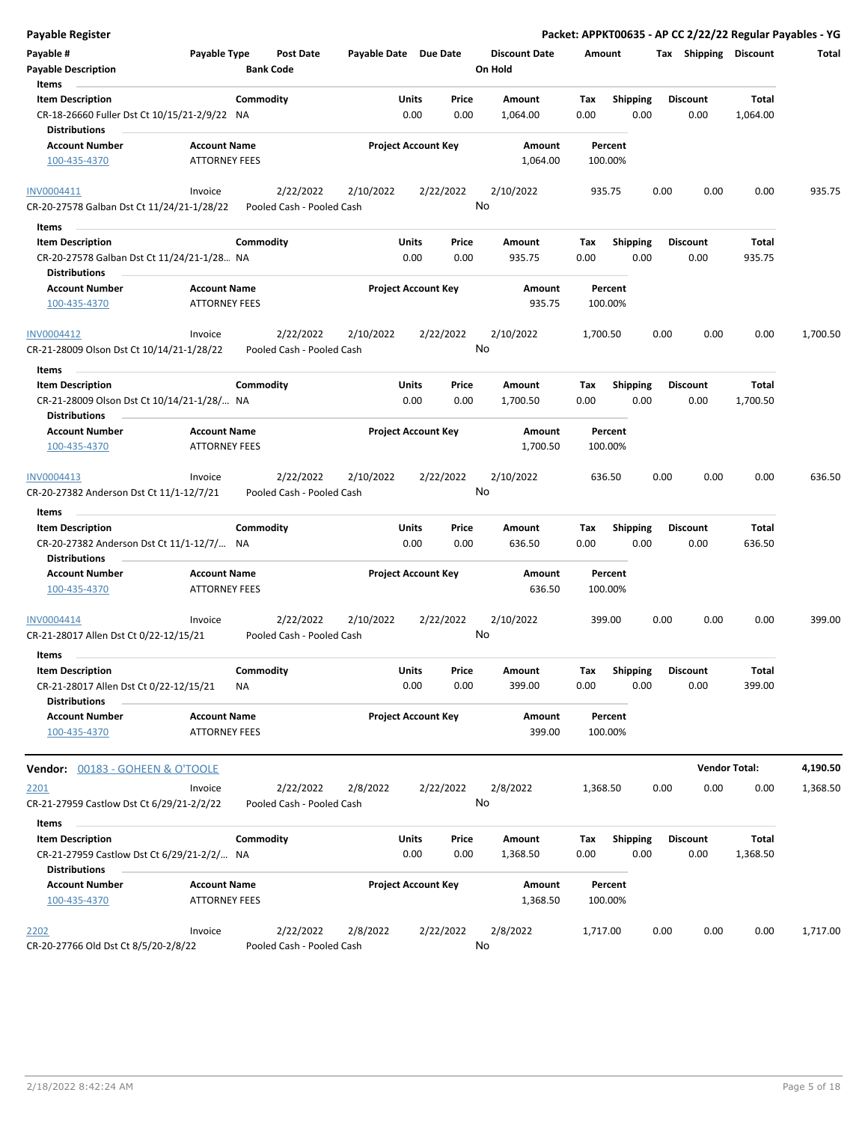| <b>Payable Register</b>                                                                       |                                             |                                        |                       |                            |               |                                 |                    |                         |      |                         |                   | Packet: APPKT00635 - AP CC 2/22/22 Regular Payables - YG |
|-----------------------------------------------------------------------------------------------|---------------------------------------------|----------------------------------------|-----------------------|----------------------------|---------------|---------------------------------|--------------------|-------------------------|------|-------------------------|-------------------|----------------------------------------------------------|
| Payable #<br><b>Payable Description</b>                                                       | Payable Type                                | <b>Post Date</b><br><b>Bank Code</b>   | Payable Date Due Date |                            |               | <b>Discount Date</b><br>On Hold | Amount             |                         |      | Tax Shipping Discount   |                   | Total                                                    |
| Items                                                                                         |                                             |                                        |                       |                            |               |                                 |                    |                         |      |                         |                   |                                                          |
| <b>Item Description</b><br>CR-18-26660 Fuller Dst Ct 10/15/21-2/9/22 NA                       | Commodity                                   |                                        |                       | <b>Units</b><br>0.00       | Price<br>0.00 | Amount<br>1,064.00              | Tax<br>0.00        | <b>Shipping</b><br>0.00 |      | <b>Discount</b><br>0.00 | Total<br>1,064.00 |                                                          |
| <b>Distributions</b>                                                                          |                                             |                                        |                       |                            |               |                                 |                    |                         |      |                         |                   |                                                          |
| <b>Account Number</b><br>100-435-4370                                                         | <b>Account Name</b><br><b>ATTORNEY FEES</b> |                                        |                       | <b>Project Account Key</b> |               | Amount<br>1,064.00              | Percent<br>100.00% |                         |      |                         |                   |                                                          |
| INV0004411                                                                                    | Invoice                                     | 2/22/2022                              | 2/10/2022             | 2/22/2022                  |               | 2/10/2022                       | 935.75             |                         | 0.00 | 0.00                    | 0.00              | 935.75                                                   |
| CR-20-27578 Galban Dst Ct 11/24/21-1/28/22                                                    |                                             | Pooled Cash - Pooled Cash              |                       |                            | No            |                                 |                    |                         |      |                         |                   |                                                          |
| Items                                                                                         |                                             |                                        |                       |                            |               |                                 |                    |                         |      |                         |                   |                                                          |
| <b>Item Description</b><br>CR-20-27578 Galban Dst Ct 11/24/21-1/28 NA                         | Commodity                                   |                                        |                       | Units<br>0.00              | Price<br>0.00 | Amount<br>935.75                | Tax<br>0.00        | <b>Shipping</b><br>0.00 |      | <b>Discount</b><br>0.00 | Total<br>935.75   |                                                          |
| <b>Distributions</b>                                                                          |                                             |                                        |                       |                            |               |                                 |                    |                         |      |                         |                   |                                                          |
| <b>Account Number</b><br>100-435-4370                                                         | <b>Account Name</b><br><b>ATTORNEY FEES</b> |                                        |                       | <b>Project Account Key</b> |               | Amount<br>935.75                | Percent<br>100.00% |                         |      |                         |                   |                                                          |
| INV0004412<br>CR-21-28009 Olson Dst Ct 10/14/21-1/28/22                                       | Invoice                                     | 2/22/2022<br>Pooled Cash - Pooled Cash | 2/10/2022             | 2/22/2022                  |               | 2/10/2022<br>No                 | 1,700.50           |                         | 0.00 | 0.00                    | 0.00              | 1,700.50                                                 |
| Items                                                                                         |                                             |                                        |                       |                            |               |                                 |                    |                         |      |                         |                   |                                                          |
| <b>Item Description</b>                                                                       | Commodity                                   |                                        |                       | Units                      | Price         | Amount                          | Тах                | <b>Shipping</b>         |      | <b>Discount</b>         | Total             |                                                          |
| CR-21-28009 Olson Dst Ct 10/14/21-1/28/ NA<br>Distributions                                   |                                             |                                        |                       | 0.00                       | 0.00          | 1,700.50                        | 0.00               | 0.00                    |      | 0.00                    | 1,700.50          |                                                          |
| <b>Account Number</b>                                                                         | <b>Account Name</b>                         |                                        |                       | <b>Project Account Key</b> |               | Amount                          | Percent            |                         |      |                         |                   |                                                          |
| 100-435-4370                                                                                  | <b>ATTORNEY FEES</b>                        |                                        |                       |                            |               | 1,700.50                        | 100.00%            |                         |      |                         |                   |                                                          |
| INV0004413<br>CR-20-27382 Anderson Dst Ct 11/1-12/7/21                                        | Invoice                                     | 2/22/2022<br>Pooled Cash - Pooled Cash | 2/10/2022             | 2/22/2022                  |               | 2/10/2022<br>No                 | 636.50             |                         | 0.00 | 0.00                    | 0.00              | 636.50                                                   |
| Items                                                                                         |                                             |                                        |                       |                            |               |                                 |                    |                         |      |                         |                   |                                                          |
| <b>Item Description</b><br>CR-20-27382 Anderson Dst Ct 11/1-12/7/ NA<br><b>Distributions</b>  | Commodity                                   |                                        |                       | Units<br>0.00              | Price<br>0.00 | Amount<br>636.50                | Tax<br>0.00        | <b>Shipping</b><br>0.00 |      | <b>Discount</b><br>0.00 | Total<br>636.50   |                                                          |
| <b>Account Number</b><br>100-435-4370                                                         | <b>Account Name</b><br><b>ATTORNEY FEES</b> |                                        |                       | <b>Project Account Key</b> |               | Amount<br>636.50                | Percent<br>100.00% |                         |      |                         |                   |                                                          |
| INV0004414<br>CR-21-28017 Allen Dst Ct 0/22-12/15/21                                          | Invoice                                     | 2/22/2022<br>Pooled Cash - Pooled Cash | 2/10/2022             | 2/22/2022                  |               | 2/10/2022<br>No                 | 399.00             |                         | 0.00 | 0.00                    | 0.00              | 399.00                                                   |
| Items                                                                                         |                                             |                                        |                       |                            |               |                                 |                    |                         |      |                         |                   |                                                          |
| <b>Item Description</b><br>CR-21-28017 Allen Dst Ct 0/22-12/15/21                             | Commodity<br>NA                             |                                        |                       | Units<br>0.00              | Price<br>0.00 | Amount<br>399.00                | Tax<br>0.00        | <b>Shipping</b><br>0.00 |      | Discount<br>0.00        | Total<br>399.00   |                                                          |
| <b>Distributions</b><br><b>Account Number</b><br>100-435-4370                                 | <b>Account Name</b><br><b>ATTORNEY FEES</b> |                                        |                       | Project Account Key        |               | Amount<br>399.00                | Percent<br>100.00% |                         |      |                         |                   |                                                          |
|                                                                                               |                                             |                                        |                       |                            |               |                                 |                    |                         |      |                         |                   |                                                          |
| Vendor: 00183 - GOHEEN & O'TOOLE                                                              |                                             |                                        |                       |                            |               |                                 |                    |                         |      | <b>Vendor Total:</b>    |                   | 4,190.50                                                 |
| 2201<br>CR-21-27959 Castlow Dst Ct 6/29/21-2/2/22                                             | Invoice                                     | 2/22/2022<br>Pooled Cash - Pooled Cash | 2/8/2022              | 2/22/2022                  |               | 2/8/2022<br>No                  | 1,368.50           |                         | 0.00 | 0.00                    | 0.00              | 1,368.50                                                 |
| Items                                                                                         |                                             |                                        |                       |                            |               |                                 |                    |                         |      |                         |                   |                                                          |
| <b>Item Description</b><br>CR-21-27959 Castlow Dst Ct 6/29/21-2/2/ NA<br><b>Distributions</b> | Commodity                                   |                                        |                       | Units<br>0.00              | Price<br>0.00 | Amount<br>1,368.50              | Tax<br>0.00        | <b>Shipping</b><br>0.00 |      | <b>Discount</b><br>0.00 | Total<br>1,368.50 |                                                          |
| <b>Account Number</b><br>100-435-4370                                                         | <b>Account Name</b><br><b>ATTORNEY FEES</b> |                                        |                       | <b>Project Account Key</b> |               | Amount<br>1,368.50              | Percent<br>100.00% |                         |      |                         |                   |                                                          |
| 2202<br>CR-20-27766 Old Dst Ct 8/5/20-2/8/22                                                  | Invoice                                     | 2/22/2022<br>Pooled Cash - Pooled Cash | 2/8/2022              | 2/22/2022                  |               | 2/8/2022<br>No                  | 1,717.00           |                         | 0.00 | 0.00                    | 0.00              | 1,717.00                                                 |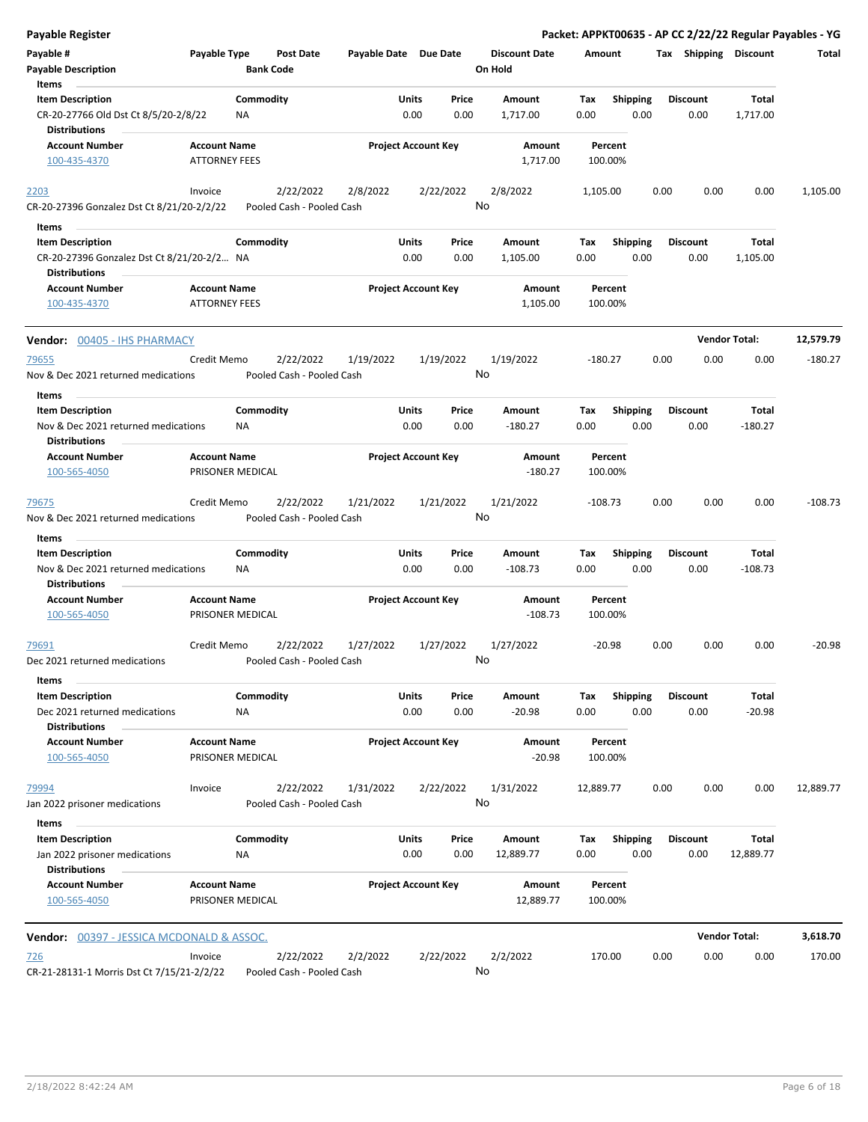| <b>Payable Register</b>                                                                 |                                             |                                        |                       |                                |                                 |                    |                         |      |                         |                              | Packet: APPKT00635 - AP CC 2/22/22 Regular Payables - YG |
|-----------------------------------------------------------------------------------------|---------------------------------------------|----------------------------------------|-----------------------|--------------------------------|---------------------------------|--------------------|-------------------------|------|-------------------------|------------------------------|----------------------------------------------------------|
| Payable #<br><b>Payable Description</b>                                                 | Payable Type                                | Post Date<br><b>Bank Code</b>          | Payable Date Due Date |                                | <b>Discount Date</b><br>On Hold | Amount             |                         |      |                         | <b>Tax Shipping Discount</b> | Total                                                    |
| Items                                                                                   |                                             |                                        |                       |                                |                                 |                    |                         |      |                         |                              |                                                          |
| <b>Item Description</b><br>CR-20-27766 Old Dst Ct 8/5/20-2/8/22<br><b>Distributions</b> | Commodity<br><b>NA</b>                      |                                        |                       | Units<br>Price<br>0.00<br>0.00 | Amount<br>1,717.00              | Tax<br>0.00        | <b>Shipping</b><br>0.00 |      | <b>Discount</b><br>0.00 | Total<br>1,717.00            |                                                          |
| <b>Account Number</b>                                                                   | <b>Account Name</b>                         |                                        |                       | <b>Project Account Key</b>     | Amount                          | Percent            |                         |      |                         |                              |                                                          |
| 100-435-4370                                                                            | <b>ATTORNEY FEES</b>                        |                                        |                       |                                | 1,717.00                        | 100.00%            |                         |      |                         |                              |                                                          |
| 2203<br>CR-20-27396 Gonzalez Dst Ct 8/21/20-2/2/22                                      | Invoice                                     | 2/22/2022<br>Pooled Cash - Pooled Cash | 2/8/2022              | 2/22/2022                      | 2/8/2022<br>No                  | 1,105.00           |                         | 0.00 | 0.00                    | 0.00                         | 1,105.00                                                 |
| Items                                                                                   |                                             |                                        |                       |                                |                                 |                    |                         |      |                         |                              |                                                          |
| <b>Item Description</b>                                                                 | Commodity                                   |                                        |                       | Units<br>Price                 | Amount                          | Tax                | <b>Shipping</b>         |      | <b>Discount</b>         | Total                        |                                                          |
| CR-20-27396 Gonzalez Dst Ct 8/21/20-2/2 NA<br><b>Distributions</b>                      |                                             |                                        |                       | 0.00<br>0.00                   | 1,105.00                        | 0.00               | 0.00                    |      | 0.00                    | 1,105.00                     |                                                          |
| <b>Account Number</b><br>100-435-4370                                                   | <b>Account Name</b><br><b>ATTORNEY FEES</b> |                                        |                       | <b>Project Account Key</b>     | Amount<br>1,105.00              | Percent<br>100.00% |                         |      |                         |                              |                                                          |
| <b>Vendor: 00405 - IHS PHARMACY</b>                                                     |                                             |                                        |                       |                                |                                 |                    |                         |      |                         | <b>Vendor Total:</b>         | 12,579.79                                                |
| 79655<br>Nov & Dec 2021 returned medications                                            | Credit Memo                                 | 2/22/2022<br>Pooled Cash - Pooled Cash | 1/19/2022             | 1/19/2022                      | 1/19/2022<br>No                 | $-180.27$          |                         | 0.00 | 0.00                    | 0.00                         | $-180.27$                                                |
| Items                                                                                   |                                             |                                        |                       |                                |                                 |                    |                         |      |                         |                              |                                                          |
| <b>Item Description</b><br>Nov & Dec 2021 returned medications                          | Commodity<br>ΝA                             |                                        |                       | Units<br>Price<br>0.00<br>0.00 | Amount<br>$-180.27$             | Tax<br>0.00        | <b>Shipping</b><br>0.00 |      | <b>Discount</b><br>0.00 | Total<br>-180.27             |                                                          |
| <b>Distributions</b>                                                                    |                                             |                                        |                       |                                |                                 |                    |                         |      |                         |                              |                                                          |
| <b>Account Number</b><br>100-565-4050                                                   | <b>Account Name</b><br>PRISONER MEDICAL     |                                        |                       | <b>Project Account Key</b>     | Amount<br>$-180.27$             | Percent<br>100.00% |                         |      |                         |                              |                                                          |
| 79675<br>Nov & Dec 2021 returned medications<br>Items                                   | Credit Memo                                 | 2/22/2022<br>Pooled Cash - Pooled Cash | 1/21/2022             | 1/21/2022                      | 1/21/2022<br>No                 | $-108.73$          |                         | 0.00 | 0.00                    | 0.00                         | $-108.73$                                                |
| <b>Item Description</b>                                                                 | Commodity                                   |                                        |                       | Units<br>Price                 | Amount                          | Tax                | <b>Shipping</b>         |      | <b>Discount</b>         | Total                        |                                                          |
| Nov & Dec 2021 returned medications<br><b>Distributions</b>                             | <b>NA</b>                                   |                                        |                       | 0.00<br>0.00                   | $-108.73$                       | 0.00               | 0.00                    |      | 0.00                    | $-108.73$                    |                                                          |
| <b>Account Number</b>                                                                   | <b>Account Name</b>                         |                                        |                       | <b>Project Account Key</b>     | Amount                          | Percent            |                         |      |                         |                              |                                                          |
| 100-565-4050                                                                            | PRISONER MEDICAL                            |                                        |                       |                                | $-108.73$                       | 100.00%            |                         |      |                         |                              |                                                          |
| 79691<br>Dec 2021 returned medications                                                  | Credit Memo                                 | 2/22/2022<br>Pooled Cash - Pooled Cash | 1/27/2022             | 1/27/2022                      | 1/27/2022<br>No                 | $-20.98$           |                         | 0.00 | 0.00                    | 0.00                         | $-20.98$                                                 |
| Items                                                                                   | Commodity                                   |                                        |                       |                                |                                 |                    |                         |      |                         |                              |                                                          |
| <b>Item Description</b><br>Dec 2021 returned medications<br><b>Distributions</b>        | ΝA                                          |                                        |                       | Units<br>Price<br>0.00<br>0.00 | Amount<br>$-20.98$              | Tax<br>0.00        | <b>Shipping</b><br>0.00 |      | <b>Discount</b><br>0.00 | Total<br>$-20.98$            |                                                          |
| <b>Account Number</b><br>100-565-4050                                                   | <b>Account Name</b><br>PRISONER MEDICAL     |                                        |                       | <b>Project Account Key</b>     | Amount<br>$-20.98$              | Percent<br>100.00% |                         |      |                         |                              |                                                          |
| 79994                                                                                   | Invoice                                     | 2/22/2022                              | 1/31/2022             | 2/22/2022                      | 1/31/2022                       | 12,889.77          |                         | 0.00 | 0.00                    | 0.00                         | 12,889.77                                                |
| Jan 2022 prisoner medications<br>Items                                                  |                                             | Pooled Cash - Pooled Cash              |                       |                                | No                              |                    |                         |      |                         |                              |                                                          |
| <b>Item Description</b>                                                                 | Commodity                                   |                                        |                       | Units<br>Price                 | Amount                          | Tax                | <b>Shipping</b>         |      | <b>Discount</b>         | Total                        |                                                          |
| Jan 2022 prisoner medications<br><b>Distributions</b>                                   | <b>NA</b>                                   |                                        |                       | 0.00<br>0.00                   | 12,889.77                       | 0.00               | 0.00                    |      | 0.00                    | 12,889.77                    |                                                          |
| <b>Account Number</b><br>100-565-4050                                                   | <b>Account Name</b><br>PRISONER MEDICAL     |                                        |                       | <b>Project Account Key</b>     | Amount<br>12,889.77             | Percent<br>100.00% |                         |      |                         |                              |                                                          |
| <b>Vendor: 00397 - JESSICA MCDONALD &amp; ASSOC.</b>                                    |                                             |                                        |                       |                                |                                 |                    |                         |      |                         | <b>Vendor Total:</b>         | 3,618.70                                                 |
| <u>726</u><br>CR-21-28131-1 Morris Dst Ct 7/15/21-2/2/22                                | Invoice                                     | 2/22/2022<br>Pooled Cash - Pooled Cash | 2/2/2022              | 2/22/2022                      | 2/2/2022<br>No                  | 170.00             |                         | 0.00 | 0.00                    | 0.00                         | 170.00                                                   |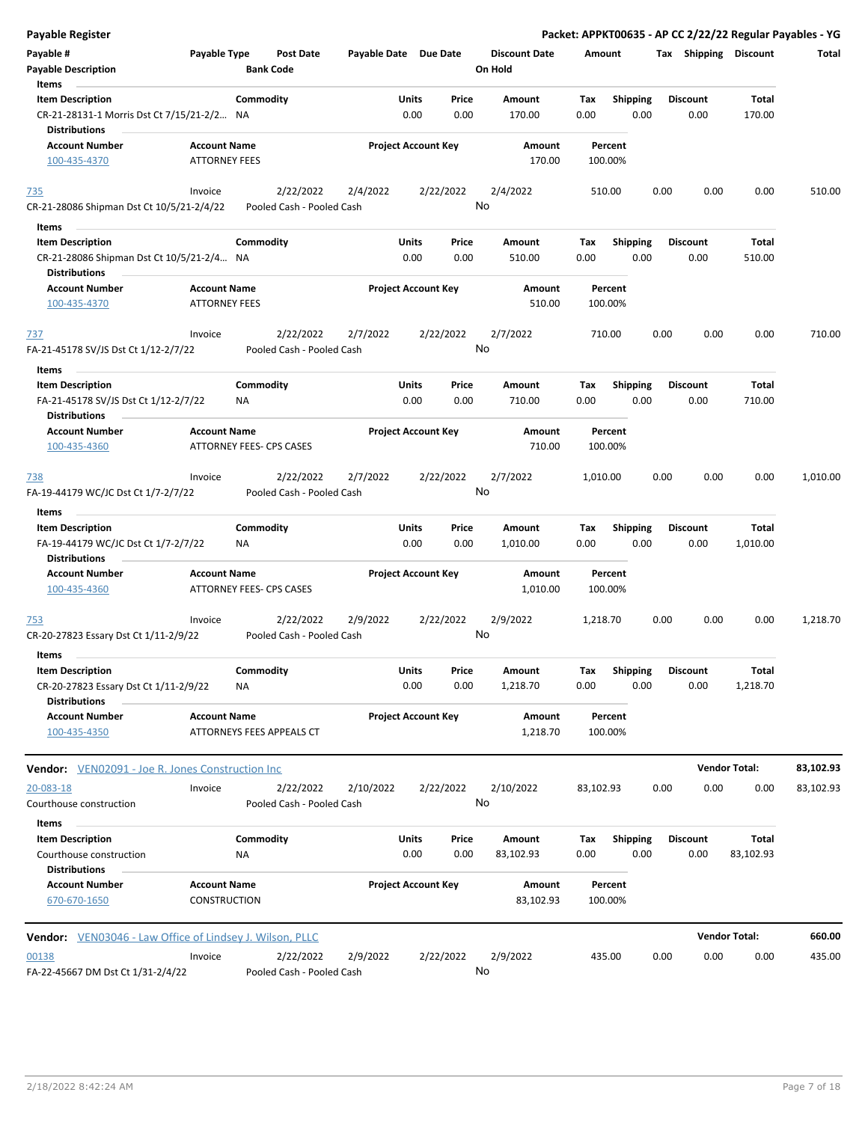| <b>Payable Register</b>                                      |                      |                          |                                        |                       |                            |               |                      |             |                 |      |                 |                       | Packet: APPKT00635 - AP CC 2/22/22 Regular Payables - YG |
|--------------------------------------------------------------|----------------------|--------------------------|----------------------------------------|-----------------------|----------------------------|---------------|----------------------|-------------|-----------------|------|-----------------|-----------------------|----------------------------------------------------------|
| Payable #                                                    | Payable Type         |                          | <b>Post Date</b>                       | Payable Date Due Date |                            |               | <b>Discount Date</b> | Amount      |                 |      |                 | Tax Shipping Discount | Total                                                    |
| <b>Payable Description</b>                                   |                      | <b>Bank Code</b>         |                                        |                       |                            |               | On Hold              |             |                 |      |                 |                       |                                                          |
| Items                                                        |                      |                          |                                        |                       |                            |               |                      |             |                 |      |                 |                       |                                                          |
| <b>Item Description</b>                                      |                      | Commodity                |                                        |                       | Units                      | Price         | Amount               | Tax         | <b>Shipping</b> |      | <b>Discount</b> | Total                 |                                                          |
| CR-21-28131-1 Morris Dst Ct 7/15/21-2/2 NA                   |                      |                          |                                        |                       | 0.00                       | 0.00          | 170.00               | 0.00        | 0.00            |      | 0.00            | 170.00                |                                                          |
| <b>Distributions</b>                                         |                      |                          |                                        |                       |                            |               |                      |             |                 |      |                 |                       |                                                          |
| <b>Account Number</b>                                        | <b>Account Name</b>  |                          |                                        |                       | <b>Project Account Key</b> |               | Amount               |             | Percent         |      |                 |                       |                                                          |
| 100-435-4370                                                 | <b>ATTORNEY FEES</b> |                          |                                        |                       |                            |               | 170.00               |             | 100.00%         |      |                 |                       |                                                          |
| <u>735</u>                                                   | Invoice              |                          | 2/22/2022                              | 2/4/2022              |                            | 2/22/2022     | 2/4/2022             |             | 510.00          | 0.00 | 0.00            | 0.00                  | 510.00                                                   |
| CR-21-28086 Shipman Dst Ct 10/5/21-2/4/22                    |                      |                          | Pooled Cash - Pooled Cash              |                       |                            |               | No                   |             |                 |      |                 |                       |                                                          |
| Items                                                        |                      |                          |                                        |                       |                            |               |                      |             |                 |      |                 |                       |                                                          |
| <b>Item Description</b>                                      |                      | Commodity                |                                        |                       | Units                      | Price         | Amount               | Tax         | <b>Shipping</b> |      | <b>Discount</b> | Total                 |                                                          |
| CR-21-28086 Shipman Dst Ct 10/5/21-2/4 NA                    |                      |                          |                                        |                       | 0.00                       | 0.00          | 510.00               | 0.00        | 0.00            |      | 0.00            | 510.00                |                                                          |
| <b>Distributions</b>                                         |                      |                          |                                        |                       |                            |               |                      |             |                 |      |                 |                       |                                                          |
| <b>Account Number</b>                                        | <b>Account Name</b>  |                          |                                        |                       | <b>Project Account Key</b> |               | Amount               |             | Percent         |      |                 |                       |                                                          |
| 100-435-4370                                                 | <b>ATTORNEY FEES</b> |                          |                                        |                       |                            |               | 510.00               |             | 100.00%         |      |                 |                       |                                                          |
| <u>737</u>                                                   | Invoice              |                          | 2/22/2022                              | 2/7/2022              |                            | 2/22/2022     | 2/7/2022             |             | 710.00          | 0.00 | 0.00            | 0.00                  | 710.00                                                   |
| FA-21-45178 SV/JS Dst Ct 1/12-2/7/22                         |                      |                          | Pooled Cash - Pooled Cash              |                       |                            |               | No                   |             |                 |      |                 |                       |                                                          |
|                                                              |                      |                          |                                        |                       |                            |               |                      |             |                 |      |                 |                       |                                                          |
| Items                                                        |                      |                          |                                        |                       |                            |               |                      |             |                 |      |                 |                       |                                                          |
| <b>Item Description</b>                                      |                      | Commodity                |                                        |                       | Units                      | Price         | Amount               | Tax         | <b>Shipping</b> |      | <b>Discount</b> | Total                 |                                                          |
| FA-21-45178 SV/JS Dst Ct 1/12-2/7/22<br><b>Distributions</b> |                      | ΝA                       |                                        |                       | 0.00                       | 0.00          | 710.00               | 0.00        | 0.00            |      | 0.00            | 710.00                |                                                          |
| <b>Account Number</b>                                        | <b>Account Name</b>  |                          |                                        |                       | <b>Project Account Key</b> |               | Amount               |             | Percent         |      |                 |                       |                                                          |
| 100-435-4360                                                 |                      | ATTORNEY FEES- CPS CASES |                                        |                       |                            |               | 710.00               |             | 100.00%         |      |                 |                       |                                                          |
| <u>738</u>                                                   | Invoice              |                          | 2/22/2022                              | 2/7/2022              |                            | 2/22/2022     | 2/7/2022             | 1,010.00    |                 | 0.00 | 0.00            | 0.00                  | 1,010.00                                                 |
| FA-19-44179 WC/JC Dst Ct 1/7-2/7/22                          |                      |                          | Pooled Cash - Pooled Cash              |                       |                            |               | No                   |             |                 |      |                 |                       |                                                          |
| Items                                                        |                      |                          |                                        |                       |                            |               |                      |             |                 |      |                 |                       |                                                          |
| <b>Item Description</b>                                      |                      | Commodity                |                                        |                       | Units                      | Price         | Amount               | Tax         | Shipping        |      | <b>Discount</b> | Total                 |                                                          |
| FA-19-44179 WC/JC Dst Ct 1/7-2/7/22<br><b>Distributions</b>  |                      | <b>NA</b>                |                                        |                       | 0.00                       | 0.00          | 1,010.00             | 0.00        | 0.00            |      | 0.00            | 1,010.00              |                                                          |
| <b>Account Number</b>                                        | <b>Account Name</b>  |                          |                                        |                       | <b>Project Account Key</b> |               | Amount               |             | Percent         |      |                 |                       |                                                          |
| 100-435-4360                                                 |                      | ATTORNEY FEES- CPS CASES |                                        |                       |                            |               | 1,010.00             |             | 100.00%         |      |                 |                       |                                                          |
| 753                                                          | Invoice              |                          | 2/22/2022                              | 2/9/2022              |                            | 2/22/2022     | 2/9/2022             | 1,218.70    |                 | 0.00 | 0.00            | 0.00                  | 1,218.70                                                 |
| CR-20-27823 Essary Dst Ct 1/11-2/9/22                        |                      |                          | Pooled Cash - Pooled Cash              |                       |                            |               | No                   |             |                 |      |                 |                       |                                                          |
|                                                              |                      |                          |                                        |                       |                            |               |                      |             |                 |      |                 |                       |                                                          |
| Items<br><b>Item Description</b>                             |                      | Commodity                |                                        |                       | Units                      |               |                      |             | <b>Shipping</b> |      | <b>Discount</b> |                       |                                                          |
| CR-20-27823 Essary Dst Ct 1/11-2/9/22                        |                      | NA                       |                                        |                       | 0.00                       | Price<br>0.00 | Amount<br>1,218.70   | Tax<br>0.00 | 0.00            |      | 0.00            | Total<br>1,218.70     |                                                          |
| <b>Distributions</b>                                         |                      |                          |                                        |                       |                            |               |                      |             |                 |      |                 |                       |                                                          |
| <b>Account Number</b>                                        | <b>Account Name</b>  |                          |                                        |                       | <b>Project Account Key</b> |               | Amount               |             | Percent         |      |                 |                       |                                                          |
| 100-435-4350                                                 |                      |                          | ATTORNEYS FEES APPEALS CT              |                       |                            |               | 1,218.70             |             | 100.00%         |      |                 |                       |                                                          |
|                                                              |                      |                          |                                        |                       |                            |               |                      |             |                 |      |                 |                       |                                                          |
| <b>Vendor:</b> VEN02091 - Joe R. Jones Construction Inc      |                      |                          |                                        |                       |                            |               |                      |             |                 |      |                 | <b>Vendor Total:</b>  | 83,102.93                                                |
| 20-083-18<br>Courthouse construction                         | Invoice              |                          | 2/22/2022<br>Pooled Cash - Pooled Cash | 2/10/2022             |                            | 2/22/2022     | 2/10/2022<br>No      | 83,102.93   |                 | 0.00 | 0.00            | 0.00                  | 83,102.93                                                |
| Items                                                        |                      |                          |                                        |                       |                            |               |                      |             |                 |      |                 |                       |                                                          |
| <b>Item Description</b>                                      |                      | Commodity                |                                        |                       | Units                      | Price         | Amount               | Tax         | Shipping        |      | <b>Discount</b> | <b>Total</b>          |                                                          |
| Courthouse construction                                      |                      | <b>NA</b>                |                                        |                       | 0.00                       | 0.00          | 83,102.93            | 0.00        | 0.00            |      | 0.00            | 83,102.93             |                                                          |
| <b>Distributions</b>                                         |                      |                          |                                        |                       |                            |               |                      |             |                 |      |                 |                       |                                                          |
| <b>Account Number</b>                                        | <b>Account Name</b>  |                          |                                        |                       | <b>Project Account Key</b> |               | Amount               |             | Percent         |      |                 |                       |                                                          |
| 670-670-1650                                                 | CONSTRUCTION         |                          |                                        |                       |                            |               | 83,102.93            |             | 100.00%         |      |                 |                       |                                                          |
| Vendor: VEN03046 - Law Office of Lindsey J. Wilson, PLLC     |                      |                          |                                        |                       |                            |               |                      |             |                 |      |                 | <b>Vendor Total:</b>  | 660.00                                                   |
|                                                              |                      |                          |                                        |                       |                            |               |                      |             |                 |      |                 |                       |                                                          |
| 00138                                                        | Invoice              |                          | 2/22/2022                              | 2/9/2022              |                            | 2/22/2022     | 2/9/2022             |             | 435.00          | 0.00 | 0.00            | 0.00                  | 435.00                                                   |
| FA-22-45667 DM Dst Ct 1/31-2/4/22                            |                      |                          | Pooled Cash - Pooled Cash              |                       |                            |               | No                   |             |                 |      |                 |                       |                                                          |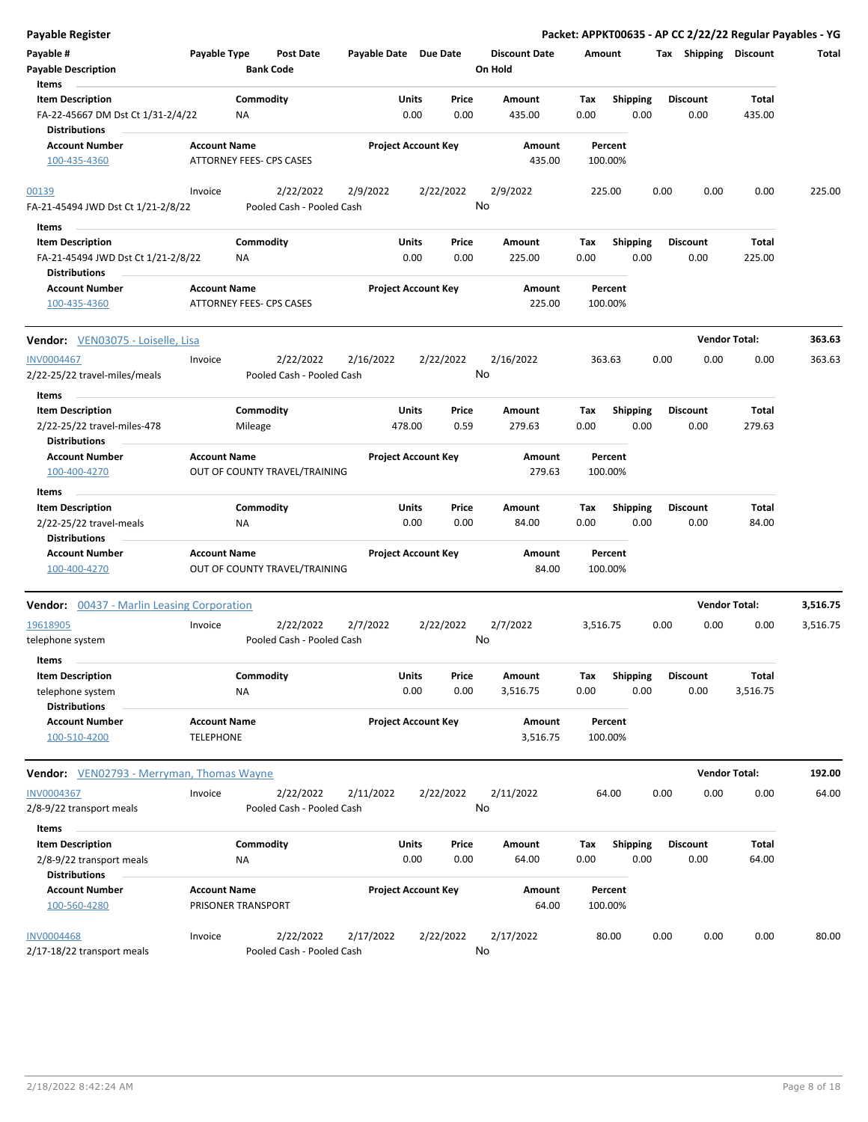| <b>Payable Register</b>                                   |                     |                                        |                       |                            |               |                                 |             |                    |      |                       | Packet: APPKT00635 - AP CC 2/22/22 Regular Payables - YG |          |
|-----------------------------------------------------------|---------------------|----------------------------------------|-----------------------|----------------------------|---------------|---------------------------------|-------------|--------------------|------|-----------------------|----------------------------------------------------------|----------|
| Payable #<br><b>Payable Description</b>                   | Payable Type        | <b>Post Date</b><br><b>Bank Code</b>   | Payable Date Due Date |                            |               | <b>Discount Date</b><br>On Hold | Amount      |                    |      | Tax Shipping Discount |                                                          | Total    |
| Items                                                     |                     |                                        |                       |                            |               |                                 |             |                    |      |                       |                                                          |          |
| <b>Item Description</b>                                   |                     | Commodity                              |                       | Units                      | Price         | Amount                          | Tax         | <b>Shipping</b>    |      | Discount              | <b>Total</b>                                             |          |
| FA-22-45667 DM Dst Ct 1/31-2/4/22<br><b>Distributions</b> |                     | NA                                     |                       | 0.00                       | 0.00          | 435.00                          | 0.00        | 0.00               |      | 0.00                  | 435.00                                                   |          |
| <b>Account Number</b>                                     | <b>Account Name</b> |                                        |                       | <b>Project Account Key</b> |               | Amount                          |             | Percent            |      |                       |                                                          |          |
| 100-435-4360                                              |                     | ATTORNEY FEES- CPS CASES               |                       |                            |               | 435.00                          |             | 100.00%            |      |                       |                                                          |          |
| 00139                                                     | Invoice             | 2/22/2022<br>Pooled Cash - Pooled Cash | 2/9/2022              | 2/22/2022                  |               | 2/9/2022<br>No                  | 225.00      |                    | 0.00 | 0.00                  | 0.00                                                     | 225.00   |
| FA-21-45494 JWD Dst Ct 1/21-2/8/22                        |                     |                                        |                       |                            |               |                                 |             |                    |      |                       |                                                          |          |
| Items                                                     |                     |                                        |                       |                            |               |                                 |             |                    |      |                       |                                                          |          |
| <b>Item Description</b>                                   |                     | Commodity                              |                       | Units                      | Price         | Amount                          | Tax         | <b>Shipping</b>    |      | <b>Discount</b>       | <b>Total</b>                                             |          |
| FA-21-45494 JWD Dst Ct 1/21-2/8/22                        |                     | <b>NA</b>                              |                       | 0.00                       | 0.00          | 225.00                          | 0.00        | 0.00               |      | 0.00                  | 225.00                                                   |          |
| <b>Distributions</b>                                      |                     |                                        |                       |                            |               |                                 |             |                    |      |                       |                                                          |          |
| <b>Account Number</b><br>100-435-4360                     | <b>Account Name</b> | ATTORNEY FEES- CPS CASES               |                       | <b>Project Account Key</b> |               | Amount<br>225.00                |             | Percent<br>100.00% |      |                       |                                                          |          |
| <b>Vendor:</b> VEN03075 - Loiselle, Lisa                  |                     |                                        |                       |                            |               |                                 |             |                    |      |                       | <b>Vendor Total:</b>                                     | 363.63   |
| <b>INV0004467</b><br>2/22-25/22 travel-miles/meals        | Invoice             | 2/22/2022<br>Pooled Cash - Pooled Cash | 2/16/2022             | 2/22/2022                  |               | 2/16/2022<br>No                 | 363.63      |                    | 0.00 | 0.00                  | 0.00                                                     | 363.63   |
| Items                                                     |                     |                                        |                       |                            |               |                                 |             |                    |      |                       |                                                          |          |
| <b>Item Description</b>                                   |                     | Commodity                              |                       | Units                      | Price         | Amount                          | Tax         | Shipping           |      | <b>Discount</b>       | <b>Total</b>                                             |          |
| 2/22-25/22 travel-miles-478<br><b>Distributions</b>       |                     | Mileage                                | 478.00                |                            | 0.59          | 279.63                          | 0.00        | 0.00               |      | 0.00                  | 279.63                                                   |          |
| <b>Account Number</b>                                     | <b>Account Name</b> |                                        |                       | <b>Project Account Key</b> |               | Amount                          |             | Percent            |      |                       |                                                          |          |
| 100-400-4270<br>Items                                     |                     | OUT OF COUNTY TRAVEL/TRAINING          |                       |                            |               | 279.63                          |             | 100.00%            |      |                       |                                                          |          |
| <b>Item Description</b>                                   |                     | Commodity                              |                       | Units                      | Price         | Amount                          | Tax         | <b>Shipping</b>    |      | <b>Discount</b>       | Total                                                    |          |
| 2/22-25/22 travel-meals<br><b>Distributions</b>           |                     | <b>NA</b>                              |                       | 0.00                       | 0.00          | 84.00                           | 0.00        | 0.00               |      | 0.00                  | 84.00                                                    |          |
| <b>Account Number</b><br>100-400-4270                     | <b>Account Name</b> | OUT OF COUNTY TRAVEL/TRAINING          |                       | <b>Project Account Key</b> |               | Amount<br>84.00                 |             | Percent<br>100.00% |      |                       |                                                          |          |
| <b>Vendor:</b> 00437 - Marlin Leasing Corporation         |                     |                                        |                       |                            |               |                                 |             |                    |      |                       | <b>Vendor Total:</b>                                     | 3,516.75 |
| 19618905                                                  | Invoice             | 2/22/2022                              | 2/7/2022              | 2/22/2022                  |               | 2/7/2022                        | 3,516.75    |                    | 0.00 | 0.00                  | 0.00                                                     | 3,516.75 |
| telephone system                                          |                     | Pooled Cash - Pooled Cash              |                       |                            |               | No                              |             |                    |      |                       |                                                          |          |
| Items<br><b>Item Description</b>                          |                     |                                        |                       |                            |               |                                 |             |                    |      | <b>Discount</b>       |                                                          |          |
| telephone system<br><b>Distributions</b>                  |                     | Commodity<br>NA                        |                       | Units<br>0.00              | Price<br>0.00 | Amount<br>3,516.75              | Tax<br>0.00 | Shipping<br>0.00   |      | 0.00                  | <b>Total</b><br>3,516.75                                 |          |
| <b>Account Number</b>                                     | <b>Account Name</b> |                                        |                       | <b>Project Account Key</b> |               | Amount                          |             | Percent            |      |                       |                                                          |          |
| 100-510-4200                                              | <b>TELEPHONE</b>    |                                        |                       |                            |               | 3,516.75                        |             | 100.00%            |      |                       |                                                          |          |
| <b>Vendor:</b> VEN02793 - Merryman, Thomas Wayne          |                     |                                        |                       |                            |               |                                 |             |                    |      |                       | <b>Vendor Total:</b>                                     | 192.00   |
| INV0004367                                                | Invoice             | 2/22/2022                              | 2/11/2022             | 2/22/2022                  |               | 2/11/2022                       |             | 64.00              | 0.00 | 0.00                  | 0.00                                                     | 64.00    |
| 2/8-9/22 transport meals                                  |                     | Pooled Cash - Pooled Cash              |                       |                            |               | No                              |             |                    |      |                       |                                                          |          |
| Items                                                     |                     |                                        |                       |                            |               |                                 |             |                    |      |                       |                                                          |          |
| <b>Item Description</b>                                   |                     | Commodity                              |                       | Units                      | Price         | Amount                          | Tax         | <b>Shipping</b>    |      | <b>Discount</b>       | Total                                                    |          |
| 2/8-9/22 transport meals                                  |                     | ΝA                                     |                       | 0.00                       | 0.00          | 64.00                           | 0.00        | 0.00               |      | 0.00                  | 64.00                                                    |          |
| <b>Distributions</b>                                      |                     |                                        |                       |                            |               |                                 |             |                    |      |                       |                                                          |          |
| <b>Account Number</b><br>100-560-4280                     | <b>Account Name</b> | PRISONER TRANSPORT                     |                       | <b>Project Account Key</b> |               | Amount<br>64.00                 |             | Percent<br>100.00% |      |                       |                                                          |          |
| <b>INV0004468</b><br>2/17-18/22 transport meals           | Invoice             | 2/22/2022<br>Pooled Cash - Pooled Cash | 2/17/2022             | 2/22/2022                  |               | 2/17/2022<br>No                 |             | 80.00              | 0.00 | 0.00                  | 0.00                                                     | 80.00    |
|                                                           |                     |                                        |                       |                            |               |                                 |             |                    |      |                       |                                                          |          |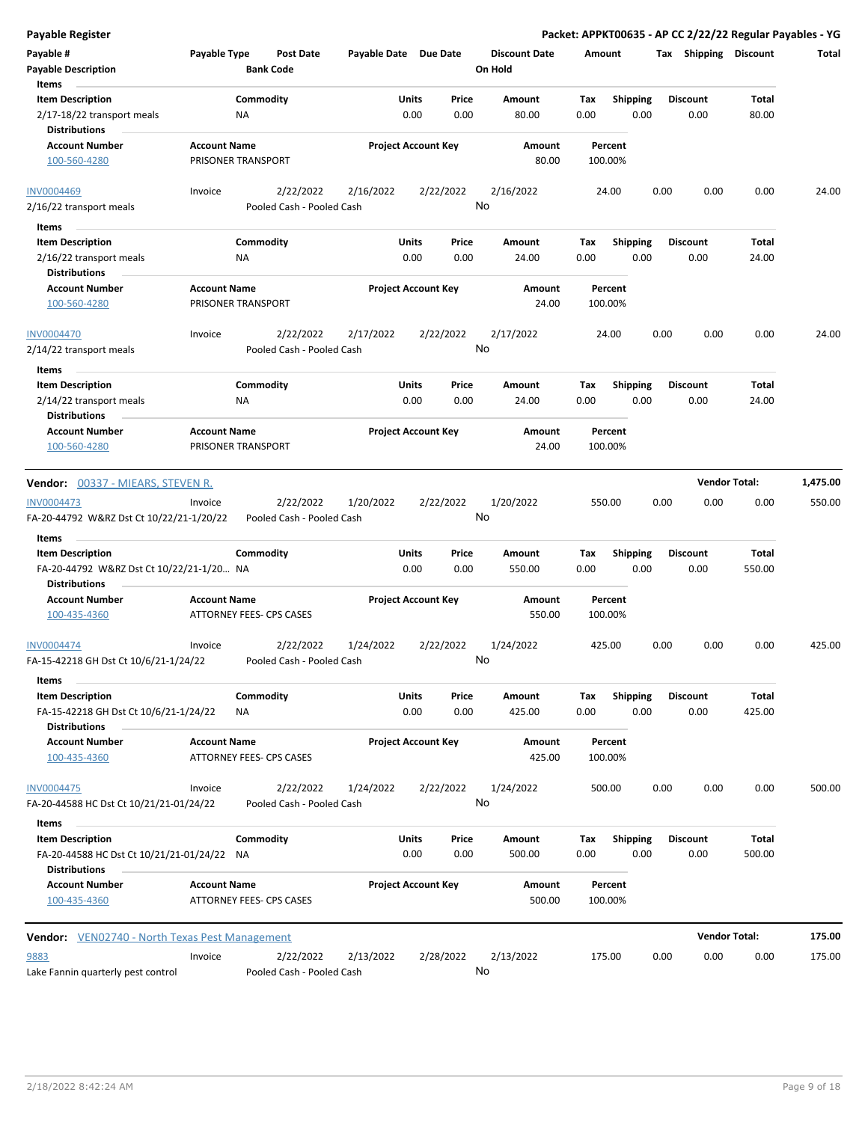**Payable Register Packet: APPKT00635 - AP CC 2/22/22 Regular Payables - YG Payable # Payable Type Post Date Payable Date Due Date Payable Description Bank Code Discount Date Amount Tax Shipping Discount Total On Hold** 0.00 0.00 **Units** 2/17-18/22 transport meals **ALCO NO MELAN MELAN MELAN MELAN MELAN MELAN MELAN MELAN MELAN MELAN MELAN MELAN MEL Item Description** 80.00 **Price Amount Tax** 0.00 80.00 Commodity **Shipping Shipping Commodity Shipping Discount** Total NA **Items** 0.00 **Discount Account Number Account Name Project Account Key Amount Distributions Percent** 100-560-4280 PRISONER TRANSPORT 80.00 100.00% 2/22/2022 2/16/2022 2/22/2022 2/16/22 transport meals Pooled Cash - Pooled Cash INV0004469 Invoice 2/16/2022 24.00 0.00 0.00 0.00 24.00 No 0.00 0.00 **Units** 2/16/22 transport meals **12/16/22** transport meals **12/16** and **12/16** and **12/16** and **12/16** and **12/16** and **12/16** and **12/16** and **12/16** and **12/16** and **12/16** and **12/16** and **12/16** and **12/16** and **12/16** and **12 Item Description** 24.00 **Price Amount Tax** 0.00 24.00 Commodity **Shipping Shipping Commodity Shipping Discount** Total NA **Items** 0.00 **Discount Account Number Account Name Project Account Key Amount Distributions Percent** 100-560-4280 PRISONER TRANSPORT 24.00 100.00% 2/22/2022 2/17/2022 2/22/2022 2/14/22 transport meals Pooled Cash - Pooled Cash INV0004470 Invoice 2/17/2022 24.00 0.00 0.00 0.00 24.00 No 0.00 0.00 **Units** 2/14/22 transport meals 0.00 **Item Description** 24.00 **Price Amount Tax** 0.00 24.00 Commodity **Shipping Example 1 Commodity Shipping Discount** Total NA **Items** 0.00 **Discount Account Number Account Name Project Account Key Amount Distributions Percent** 100-560-4280 PRISONER TRANSPORT 24.00 100.00% **Vendor:** 00337 - MIEARS, STEVEN R. **Vendor Total: 1,475.00** 2/22/2022 1/20/2022 2/22/2022 FA-20-44792 W&RZ Dst Ct 10/22/21-1/20/22 Pooled Cash - Pooled Cash INV0004473 Invoice 1/20/2022 550.00 0.00 0.00 0.00 550.00 No 0.00 0.00 **Units** FA-20-44792 W&RZ Dst Ct 10/22/21-1/20… 0.00 NA **Item Description** 550.00 **Price Amount Tax** 0.00 550.00 Commodity **Shipping Example 1 Commodity Shipping Discount** Total **Items** 0.00 **Discount Account Number Account Name Project Account Key Amount Distributions Percent** 100-435-4360 ATTORNEY FEES- CPS CASES 550.00 100.00% 2/22/2022 1/24/2022 2/22/2022 FA-15-42218 GH Dst Ct 10/6/21-1/24/22 Pooled Cash - Pooled Cash INV0004474 Invoice 1/24/2022 425.00 0.00 0.00 0.00 425.00 No 0.00 0.00 **Units** FA-15-42218 GH Dst Ct 10/6/21-1/24/22 NA 0.00 0.00 425.00 0.00 **Item Description** 425.00 **Price Amount Tax** 0.00 425.00 Commodity **Shipping Example 1 Commodity Shipping Discount** Total NA **Items** 0.00 **Discount Account Number Account Name Project Account Key Amount Distributions Percent** 100-435-4360 ATTORNEY FEES- CPS CASES 425.00 100.00% 2/22/2022 1/24/2022 2/22/2022 FA-20-44588 HC Dst Ct 10/21/21-01/24/22 Pooled Cash - Pooled Cash INV0004475 Invoice 1/24/2022 500.00 0.00 0.00 0.00 500.00 No 0.00 0.00 **Units** FA-20-44588 HC Dst Ct 10/21/21-01/24/22 0.00 NA **Item Description** 500.00 **Price Amount Tax** 0.00 500.00 Commodity **Shipping Shipping Commodity Shipping Discount** Total **Items** 0.00 **Discount Account Number Account Name Project Account Key Amount Distributions Percent** 100-435-4360 ATTORNEY FEES- CPS CASES 500.00 100.00% **Vendor:** VEN02740 - North Texas Pest Management **Vendor Total: 175.00** 2/22/2022 2/13/2022 2/28/2022 Lake Fannin quarterly pest control Pooled Cash - Pooled Cash 9883 Invoice 2/13/2022 175.00 0.00 0.00 0.00 175.00 No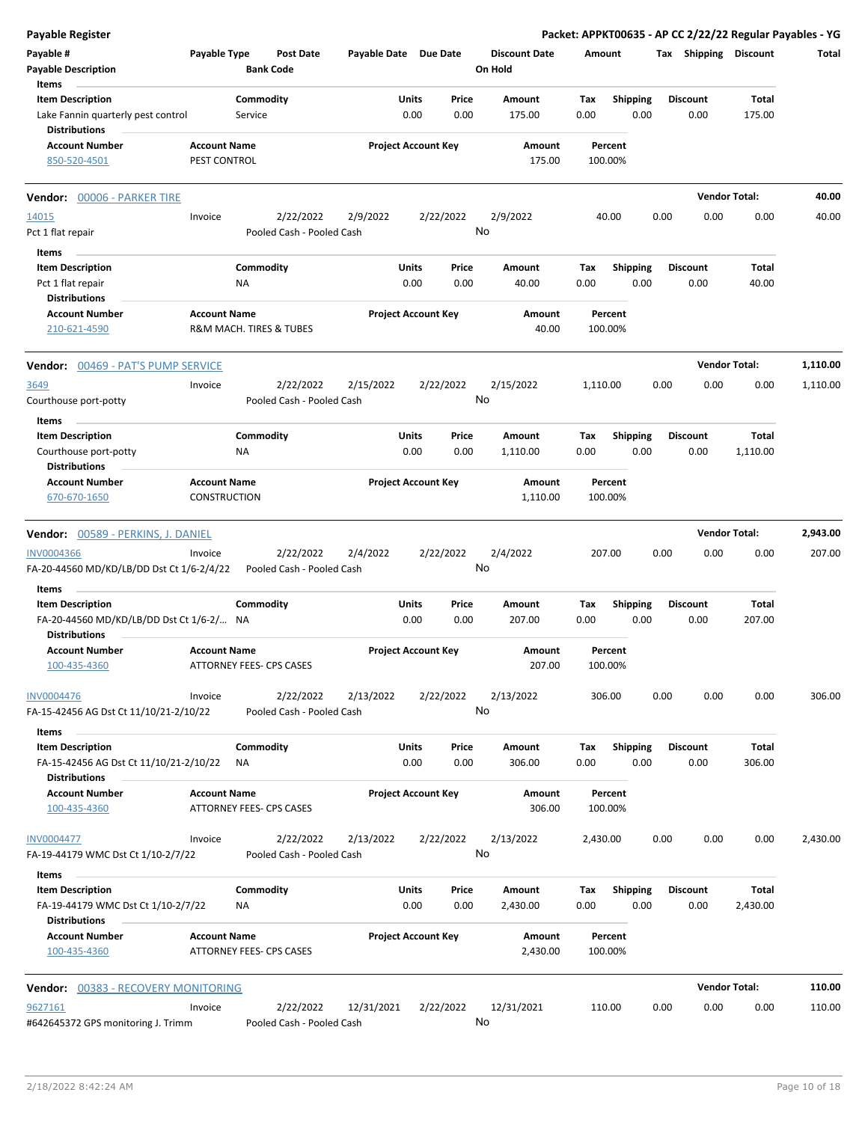| <b>Payable Register</b>                                                               |                                            |                        |                                        |                       |               |                            |               |                                 |             |                         |      |                         | Packet: APPKT00635 - AP CC 2/22/22 Regular Payables - YG |          |
|---------------------------------------------------------------------------------------|--------------------------------------------|------------------------|----------------------------------------|-----------------------|---------------|----------------------------|---------------|---------------------------------|-------------|-------------------------|------|-------------------------|----------------------------------------------------------|----------|
| Payable #<br><b>Payable Description</b>                                               | Payable Type                               | <b>Bank Code</b>       | Post Date                              | Payable Date Due Date |               |                            |               | <b>Discount Date</b><br>On Hold | Amount      |                         |      | Tax Shipping Discount   |                                                          | Total    |
| Items                                                                                 |                                            |                        |                                        |                       |               |                            |               |                                 |             |                         |      |                         |                                                          |          |
| <b>Item Description</b>                                                               |                                            | Commodity              |                                        |                       | Units         |                            | Price         | Amount                          | Tax         | <b>Shipping</b>         |      | <b>Discount</b>         | Total                                                    |          |
| Lake Fannin quarterly pest control                                                    |                                            | Service                |                                        |                       | 0.00          |                            | 0.00          | 175.00                          | 0.00        | 0.00                    |      | 0.00                    | 175.00                                                   |          |
| <b>Distributions</b>                                                                  |                                            |                        |                                        |                       |               |                            |               |                                 |             |                         |      |                         |                                                          |          |
| <b>Account Number</b><br>850-520-4501                                                 | <b>Account Name</b><br>PEST CONTROL        |                        |                                        |                       |               | <b>Project Account Key</b> |               | Amount<br>175.00                |             | Percent<br>100.00%      |      |                         |                                                          |          |
| Vendor: 00006 - PARKER TIRE                                                           |                                            |                        |                                        |                       |               |                            |               |                                 |             |                         |      |                         | <b>Vendor Total:</b>                                     | 40.00    |
| 14015                                                                                 | Invoice                                    |                        | 2/22/2022                              | 2/9/2022              |               | 2/22/2022                  |               | 2/9/2022                        |             | 40.00                   | 0.00 | 0.00                    | 0.00                                                     | 40.00    |
| Pct 1 flat repair                                                                     |                                            |                        | Pooled Cash - Pooled Cash              |                       |               |                            |               | No                              |             |                         |      |                         |                                                          |          |
| Items                                                                                 |                                            |                        |                                        |                       |               |                            |               |                                 |             |                         |      |                         |                                                          |          |
| <b>Item Description</b>                                                               |                                            | Commodity              |                                        |                       | Units         |                            | Price         | Amount                          | Tax         | <b>Shipping</b>         |      | <b>Discount</b>         | Total                                                    |          |
| Pct 1 flat repair                                                                     |                                            | ΝA                     |                                        |                       | 0.00          |                            | 0.00          | 40.00                           | 0.00        | 0.00                    |      | 0.00                    | 40.00                                                    |          |
| <b>Distributions</b>                                                                  |                                            |                        |                                        |                       |               |                            |               |                                 |             |                         |      |                         |                                                          |          |
| <b>Account Number</b>                                                                 | <b>Account Name</b>                        |                        |                                        |                       |               | <b>Project Account Key</b> |               | Amount                          |             | Percent                 |      |                         |                                                          |          |
| 210-621-4590                                                                          | R&M MACH. TIRES & TUBES                    |                        |                                        |                       |               |                            |               | 40.00                           |             | 100.00%                 |      |                         |                                                          |          |
| <b>Vendor: 00469 - PAT'S PUMP SERVICE</b>                                             |                                            |                        |                                        |                       |               |                            |               |                                 |             |                         |      |                         | <b>Vendor Total:</b>                                     | 1,110.00 |
| 3649                                                                                  | Invoice                                    |                        | 2/22/2022                              | 2/15/2022             |               | 2/22/2022                  |               | 2/15/2022                       | 1,110.00    |                         | 0.00 | 0.00                    | 0.00                                                     | 1,110.00 |
| Courthouse port-potty                                                                 |                                            |                        | Pooled Cash - Pooled Cash              |                       |               |                            |               | No                              |             |                         |      |                         |                                                          |          |
| Items                                                                                 |                                            |                        |                                        |                       |               |                            |               |                                 |             |                         |      |                         |                                                          |          |
| <b>Item Description</b>                                                               |                                            | Commodity              |                                        |                       | Units         |                            | Price         | Amount                          | Tax         | <b>Shipping</b>         |      | <b>Discount</b>         | Total                                                    |          |
| Courthouse port-potty                                                                 |                                            | ΝA                     |                                        |                       | 0.00          |                            | 0.00          | 1,110.00                        | 0.00        | 0.00                    |      | 0.00                    | 1,110.00                                                 |          |
| <b>Distributions</b>                                                                  |                                            |                        |                                        |                       |               |                            |               |                                 |             |                         |      |                         |                                                          |          |
| <b>Account Number</b>                                                                 | <b>Account Name</b><br><b>CONSTRUCTION</b> |                        |                                        |                       |               | <b>Project Account Key</b> |               | Amount<br>1,110.00              |             | Percent<br>100.00%      |      |                         |                                                          |          |
| 670-670-1650                                                                          |                                            |                        |                                        |                       |               |                            |               |                                 |             |                         |      |                         |                                                          |          |
| Vendor: 00589 - PERKINS, J. DANIEL                                                    |                                            |                        |                                        |                       |               |                            |               |                                 |             |                         |      |                         | <b>Vendor Total:</b>                                     | 2,943.00 |
| INV0004366                                                                            | Invoice                                    |                        | 2/22/2022                              | 2/4/2022              |               | 2/22/2022                  |               | 2/4/2022                        |             | 207.00                  | 0.00 | 0.00                    | 0.00                                                     | 207.00   |
| FA-20-44560 MD/KD/LB/DD Dst Ct 1/6-2/4/22                                             |                                            |                        | Pooled Cash - Pooled Cash              |                       |               |                            |               | No                              |             |                         |      |                         |                                                          |          |
|                                                                                       |                                            |                        |                                        |                       |               |                            |               |                                 |             |                         |      |                         |                                                          |          |
| Items<br><b>Item Description</b>                                                      |                                            | Commodity              |                                        |                       | Units         |                            | Price         | Amount                          | Tax         | <b>Shipping</b>         |      | <b>Discount</b>         | Total                                                    |          |
| FA-20-44560 MD/KD/LB/DD Dst Ct 1/6-2/ NA                                              |                                            |                        |                                        |                       | 0.00          |                            | 0.00          | 207.00                          | 0.00        | 0.00                    |      | 0.00                    | 207.00                                                   |          |
| <b>Distributions</b>                                                                  |                                            |                        |                                        |                       |               |                            |               |                                 |             |                         |      |                         |                                                          |          |
| <b>Account Number</b>                                                                 | <b>Account Name</b>                        |                        |                                        |                       |               | <b>Project Account Key</b> |               | Amount                          |             | Percent                 |      |                         |                                                          |          |
| 100-435-4360                                                                          | ATTORNEY FEES- CPS CASES                   |                        |                                        |                       |               |                            |               | 207.00                          |             | 100.00%                 |      |                         |                                                          |          |
| <b>INV0004476</b>                                                                     | Invoice                                    |                        | 2/22/2022                              | 2/13/2022             |               | 2/22/2022                  |               | 2/13/2022                       |             | 306.00                  | 0.00 | 0.00                    | 0.00                                                     | 306.00   |
| FA-15-42456 AG Dst Ct 11/10/21-2/10/22                                                |                                            |                        | Pooled Cash - Pooled Cash              |                       |               |                            |               | No                              |             |                         |      |                         |                                                          |          |
| Items                                                                                 |                                            |                        |                                        |                       |               |                            |               |                                 |             |                         |      |                         |                                                          |          |
| <b>Item Description</b>                                                               |                                            | Commodity              |                                        |                       | Units         |                            | Price         | Amount                          | Tax         | <b>Shipping</b>         |      | <b>Discount</b>         | Total                                                    |          |
| FA-15-42456 AG Dst Ct 11/10/21-2/10/22<br><b>Distributions</b>                        |                                            | ΝA                     |                                        |                       | 0.00          |                            | 0.00          | 306.00                          | 0.00        | 0.00                    |      | 0.00                    | 306.00                                                   |          |
| <b>Account Number</b>                                                                 | <b>Account Name</b>                        |                        |                                        |                       |               | <b>Project Account Key</b> |               | Amount                          |             | Percent                 |      |                         |                                                          |          |
| 100-435-4360                                                                          | ATTORNEY FEES- CPS CASES                   |                        |                                        |                       |               |                            |               | 306.00                          |             | 100.00%                 |      |                         |                                                          |          |
| <b>INV0004477</b>                                                                     | Invoice                                    |                        | 2/22/2022                              | 2/13/2022             |               | 2/22/2022                  |               | 2/13/2022                       | 2,430.00    |                         | 0.00 | 0.00                    | 0.00                                                     | 2,430.00 |
| FA-19-44179 WMC Dst Ct 1/10-2/7/22                                                    |                                            |                        | Pooled Cash - Pooled Cash              |                       |               |                            |               | No                              |             |                         |      |                         |                                                          |          |
| Items                                                                                 |                                            |                        |                                        |                       |               |                            |               |                                 |             |                         |      |                         |                                                          |          |
| <b>Item Description</b><br>FA-19-44179 WMC Dst Ct 1/10-2/7/22<br><b>Distributions</b> |                                            | Commodity<br><b>NA</b> |                                        |                       | Units<br>0.00 |                            | Price<br>0.00 | Amount<br>2,430.00              | Tax<br>0.00 | <b>Shipping</b><br>0.00 |      | <b>Discount</b><br>0.00 | Total<br>2,430.00                                        |          |
| <b>Account Number</b>                                                                 | <b>Account Name</b>                        |                        |                                        |                       |               | <b>Project Account Key</b> |               | Amount                          |             | Percent                 |      |                         |                                                          |          |
| 100-435-4360                                                                          | ATTORNEY FEES- CPS CASES                   |                        |                                        |                       |               |                            |               | 2,430.00                        |             | 100.00%                 |      |                         |                                                          |          |
|                                                                                       |                                            |                        |                                        |                       |               |                            |               |                                 |             |                         |      |                         | <b>Vendor Total:</b>                                     | 110.00   |
| <b>Vendor: 00383 - RECOVERY MONITORING</b>                                            |                                            |                        |                                        |                       |               |                            |               |                                 |             |                         |      |                         |                                                          |          |
| 9627161<br>#642645372 GPS monitoring J. Trimm                                         | Invoice                                    |                        | 2/22/2022<br>Pooled Cash - Pooled Cash | 12/31/2021            |               | 2/22/2022                  |               | 12/31/2021<br>No                |             | 110.00                  | 0.00 | 0.00                    | 0.00                                                     | 110.00   |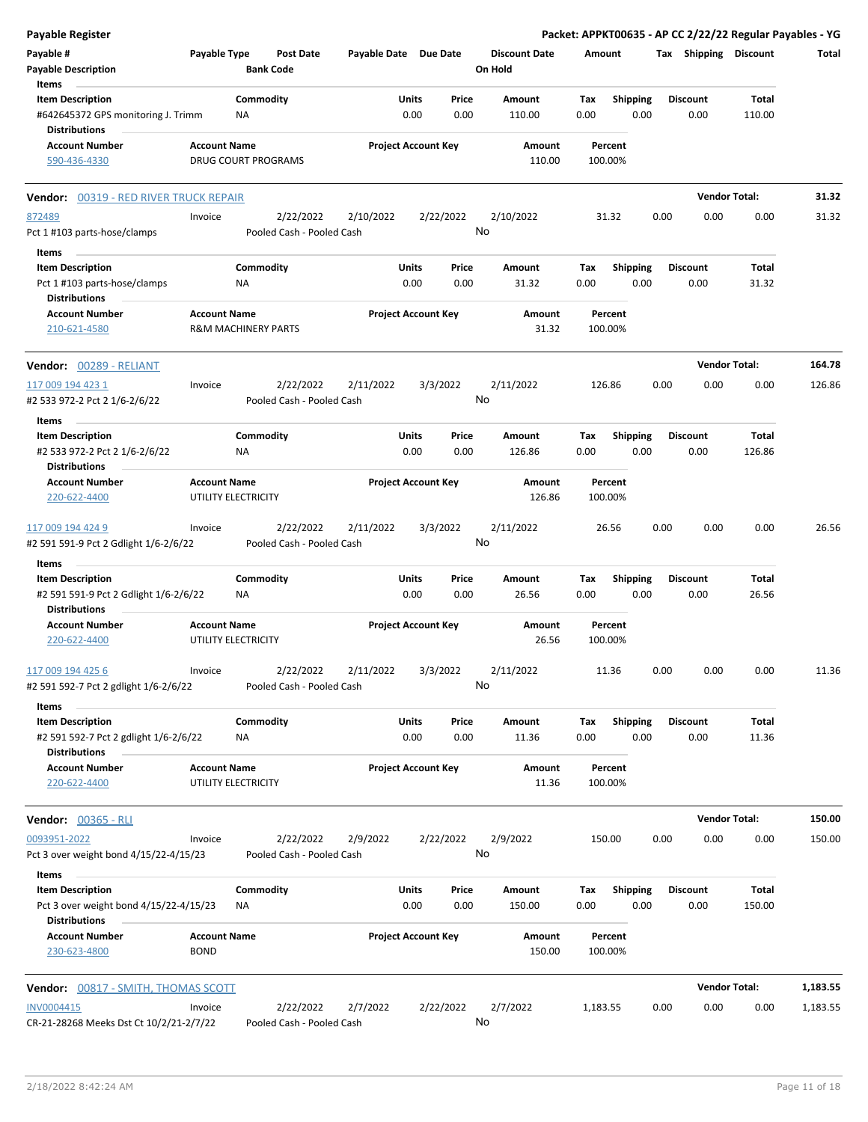| Payable Register                                                                         |                     |                                        |           |                                |                                 | Packet: APPKT00635 - AP CC 2/22/22 Regular Payables - YG |      |                         |                        |          |
|------------------------------------------------------------------------------------------|---------------------|----------------------------------------|-----------|--------------------------------|---------------------------------|----------------------------------------------------------|------|-------------------------|------------------------|----------|
| Payable #<br><b>Payable Description</b>                                                  | Payable Type        | Post Date<br><b>Bank Code</b>          |           | Payable Date Due Date          | <b>Discount Date</b><br>On Hold | Amount                                                   |      | Tax Shipping Discount   |                        | Total    |
| Items                                                                                    |                     |                                        |           |                                |                                 |                                                          |      |                         |                        |          |
| <b>Item Description</b><br>#642645372 GPS monitoring J. Trimm                            |                     | Commodity<br>ΝA                        |           | Units<br>Price<br>0.00<br>0.00 | Amount<br>110.00                | <b>Shipping</b><br>Tax<br>0.00                           | 0.00 | <b>Discount</b><br>0.00 | Total<br>110.00        |          |
| <b>Distributions</b><br><b>Account Number</b>                                            | <b>Account Name</b> |                                        |           | <b>Project Account Key</b>     | Amount                          | Percent                                                  |      |                         |                        |          |
| 590-436-4330                                                                             |                     | DRUG COURT PROGRAMS                    |           |                                | 110.00                          | 100.00%                                                  |      |                         |                        |          |
| <b>Vendor: 00319 - RED RIVER TRUCK REPAIR</b>                                            |                     |                                        |           |                                |                                 |                                                          |      |                         | <b>Vendor Total:</b>   | 31.32    |
| 872489<br>Pct 1 #103 parts-hose/clamps                                                   | Invoice             | 2/22/2022<br>Pooled Cash - Pooled Cash | 2/10/2022 | 2/22/2022                      | 2/10/2022<br>No                 | 31.32                                                    | 0.00 | 0.00                    | 0.00                   | 31.32    |
| Items                                                                                    |                     |                                        |           |                                |                                 |                                                          |      |                         |                        |          |
| <b>Item Description</b><br>Pct 1 #103 parts-hose/clamps<br><b>Distributions</b>          |                     | Commodity<br>NA                        |           | Units<br>Price<br>0.00<br>0.00 | Amount<br>31.32                 | Tax<br><b>Shipping</b><br>0.00                           | 0.00 | <b>Discount</b><br>0.00 | Total<br>31.32         |          |
| <b>Account Number</b>                                                                    | <b>Account Name</b> |                                        |           | <b>Project Account Key</b>     | Amount                          | Percent                                                  |      |                         |                        |          |
| 210-621-4580                                                                             |                     | <b>R&amp;M MACHINERY PARTS</b>         |           |                                | 31.32                           | 100.00%                                                  |      |                         |                        |          |
| Vendor: 00289 - RELIANT                                                                  |                     |                                        |           |                                |                                 |                                                          |      |                         | <b>Vendor Total:</b>   | 164.78   |
| 117 009 194 423 1<br>#2 533 972-2 Pct 2 1/6-2/6/22                                       | Invoice             | 2/22/2022<br>Pooled Cash - Pooled Cash | 2/11/2022 | 3/3/2022                       | 2/11/2022<br>No                 | 126.86                                                   | 0.00 | 0.00                    | 0.00                   | 126.86   |
| Items                                                                                    |                     |                                        |           |                                |                                 |                                                          |      |                         |                        |          |
| <b>Item Description</b><br>#2 533 972-2 Pct 2 1/6-2/6/22                                 |                     | Commodity<br>ΝA                        |           | Units<br>Price<br>0.00<br>0.00 | Amount<br>126.86                | Tax<br><b>Shipping</b><br>0.00                           | 0.00 | <b>Discount</b><br>0.00 | <b>Total</b><br>126.86 |          |
| <b>Distributions</b><br><b>Account Number</b>                                            | <b>Account Name</b> |                                        |           | <b>Project Account Key</b>     | Amount                          | Percent                                                  |      |                         |                        |          |
| 220-622-4400                                                                             |                     | UTILITY ELECTRICITY                    |           |                                | 126.86                          | 100.00%                                                  |      |                         |                        |          |
| 117 009 194 424 9<br>#2 591 591-9 Pct 2 Gdlight 1/6-2/6/22                               | Invoice             | 2/22/2022<br>Pooled Cash - Pooled Cash | 2/11/2022 | 3/3/2022                       | 2/11/2022<br>No                 | 26.56                                                    | 0.00 | 0.00                    | 0.00                   | 26.56    |
| Items                                                                                    |                     |                                        |           |                                |                                 |                                                          |      |                         |                        |          |
| <b>Item Description</b><br>#2 591 591-9 Pct 2 Gdlight 1/6-2/6/22<br><b>Distributions</b> |                     | Commodity<br><b>NA</b>                 |           | Units<br>Price<br>0.00<br>0.00 | Amount<br>26.56                 | <b>Shipping</b><br>Tax<br>0.00                           | 0.00 | <b>Discount</b><br>0.00 | Total<br>26.56         |          |
| <b>Account Number</b><br>220-622-4400                                                    | <b>Account Name</b> | <b>UTILITY ELECTRICITY</b>             |           | <b>Project Account Key</b>     | <b>Amount</b><br>26.56          | Percent<br>100.00%                                       |      |                         |                        |          |
| 117 009 194 425 6<br>#2 591 592-7 Pct 2 gdlight 1/6-2/6/22                               | Invoice             | 2/22/2022<br>Pooled Cash - Pooled Cash | 2/11/2022 | 3/3/2022                       | 2/11/2022<br>No                 | 11.36                                                    | 0.00 | 0.00                    | 0.00                   | 11.36    |
| Items                                                                                    |                     |                                        |           |                                |                                 |                                                          |      |                         |                        |          |
| <b>Item Description</b><br>#2 591 592-7 Pct 2 gdlight 1/6-2/6/22<br><b>Distributions</b> |                     | Commodity<br>NA                        |           | Units<br>Price<br>0.00<br>0.00 | Amount<br>11.36                 | <b>Shipping</b><br>Tax<br>0.00                           | 0.00 | <b>Discount</b><br>0.00 | Total<br>11.36         |          |
| <b>Account Number</b><br>220-622-4400                                                    | <b>Account Name</b> | UTILITY ELECTRICITY                    |           | <b>Project Account Key</b>     | Amount<br>11.36                 | Percent<br>100.00%                                       |      |                         |                        |          |
| <b>Vendor: 00365 - RLI</b>                                                               |                     |                                        |           |                                |                                 |                                                          |      |                         | <b>Vendor Total:</b>   | 150.00   |
| 0093951-2022                                                                             | Invoice             | 2/22/2022                              | 2/9/2022  | 2/22/2022                      | 2/9/2022                        | 150.00                                                   | 0.00 | 0.00                    | 0.00                   | 150.00   |
| Pct 3 over weight bond 4/15/22-4/15/23<br>Items                                          |                     | Pooled Cash - Pooled Cash              |           |                                | No                              |                                                          |      |                         |                        |          |
| <b>Item Description</b><br>Pct 3 over weight bond 4/15/22-4/15/23                        |                     | Commodity<br>ΝA                        |           | Units<br>Price<br>0.00<br>0.00 | Amount<br>150.00                | <b>Shipping</b><br>Tax<br>0.00                           | 0.00 | Discount<br>0.00        | Total<br>150.00        |          |
| <b>Distributions</b><br><b>Account Number</b>                                            | <b>Account Name</b> |                                        |           | <b>Project Account Key</b>     | Amount                          | Percent                                                  |      |                         |                        |          |
| 230-623-4800                                                                             | <b>BOND</b>         |                                        |           |                                | 150.00                          | 100.00%                                                  |      |                         |                        |          |
| <b>Vendor: 00817 - SMITH, THOMAS SCOTT</b>                                               |                     |                                        |           |                                |                                 |                                                          |      |                         | <b>Vendor Total:</b>   | 1,183.55 |
| INV0004415<br>CR-21-28268 Meeks Dst Ct 10/2/21-2/7/22                                    | Invoice             | 2/22/2022<br>Pooled Cash - Pooled Cash | 2/7/2022  | 2/22/2022                      | 2/7/2022<br>No                  | 1,183.55                                                 | 0.00 | 0.00                    | 0.00                   | 1,183.55 |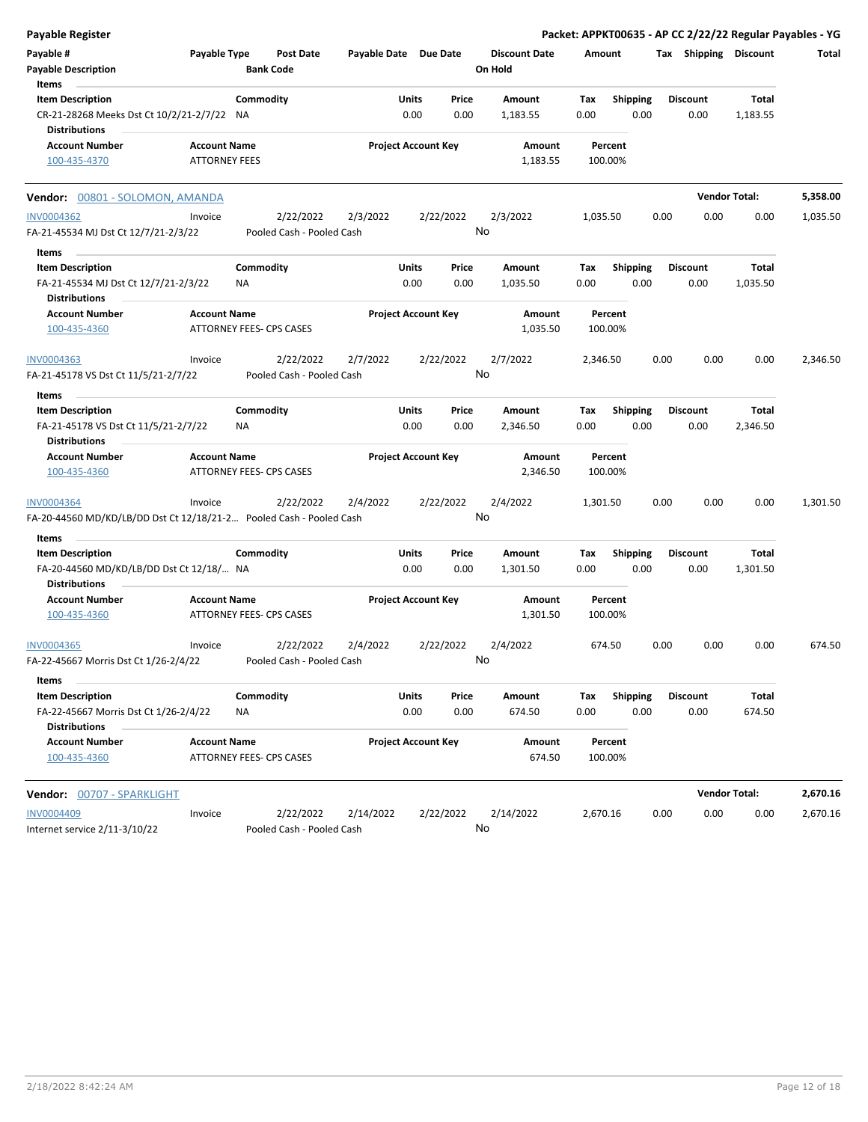| <b>Payable Register</b>                                                                              |                                             |                                        |                       |                            |                 |                                 |             |                         |      |                         |                      | Packet: APPKT00635 - AP CC 2/22/22 Regular Payables - YG |
|------------------------------------------------------------------------------------------------------|---------------------------------------------|----------------------------------------|-----------------------|----------------------------|-----------------|---------------------------------|-------------|-------------------------|------|-------------------------|----------------------|----------------------------------------------------------|
| Payable #<br><b>Payable Description</b><br>Items                                                     | Payable Type                                | <b>Post Date</b><br><b>Bank Code</b>   | Payable Date Due Date |                            |                 | <b>Discount Date</b><br>On Hold | Amount      |                         |      | Tax Shipping Discount   |                      | Total                                                    |
| <b>Item Description</b><br>CR-21-28268 Meeks Dst Ct 10/2/21-2/7/22 NA<br><b>Distributions</b>        |                                             | Commodity                              |                       | Units<br>0.00              | Price<br>0.00   | Amount<br>1,183.55              | Tax<br>0.00 | <b>Shipping</b><br>0.00 |      | <b>Discount</b><br>0.00 | Total<br>1,183.55    |                                                          |
| <b>Account Number</b><br>100-435-4370                                                                | <b>Account Name</b><br><b>ATTORNEY FEES</b> |                                        |                       | <b>Project Account Key</b> |                 | Amount<br>1,183.55              | 100.00%     | Percent                 |      |                         |                      |                                                          |
| Vendor: 00801 - SOLOMON, AMANDA                                                                      |                                             |                                        |                       |                            |                 |                                 |             |                         |      |                         | <b>Vendor Total:</b> | 5,358.00                                                 |
| <b>INV0004362</b><br>FA-21-45534 MJ Dst Ct 12/7/21-2/3/22                                            | Invoice                                     | 2/22/2022<br>Pooled Cash - Pooled Cash | 2/3/2022              |                            | 2/22/2022<br>No | 2/3/2022                        | 1,035.50    |                         | 0.00 | 0.00                    | 0.00                 | 1,035.50                                                 |
| Items<br><b>Item Description</b><br>FA-21-45534 MJ Dst Ct 12/7/21-2/3/22<br><b>Distributions</b>     |                                             | Commodity<br>ΝA                        |                       | Units<br>0.00              | Price<br>0.00   | Amount<br>1,035.50              | Tax<br>0.00 | <b>Shipping</b><br>0.00 |      | Discount<br>0.00        | Total<br>1,035.50    |                                                          |
| <b>Account Number</b><br>100-435-4360                                                                | <b>Account Name</b>                         | ATTORNEY FEES- CPS CASES               |                       | <b>Project Account Key</b> |                 | Amount<br>1,035.50              | 100.00%     | Percent                 |      |                         |                      |                                                          |
| INV0004363<br>FA-21-45178 VS Dst Ct 11/5/21-2/7/22                                                   | Invoice                                     | 2/22/2022<br>Pooled Cash - Pooled Cash | 2/7/2022              |                            | 2/22/2022<br>No | 2/7/2022                        | 2,346.50    |                         | 0.00 | 0.00                    | 0.00                 | 2,346.50                                                 |
| Items<br><b>Item Description</b><br>FA-21-45178 VS Dst Ct 11/5/21-2/7/22<br><b>Distributions</b>     |                                             | Commodity<br>ΝA                        |                       | Units<br>0.00              | Price<br>0.00   | Amount<br>2,346.50              | Tax<br>0.00 | <b>Shipping</b><br>0.00 |      | Discount<br>0.00        | Total<br>2,346.50    |                                                          |
| <b>Account Number</b><br>100-435-4360                                                                | <b>Account Name</b>                         | ATTORNEY FEES- CPS CASES               |                       | <b>Project Account Key</b> |                 | Amount<br>2,346.50              | 100.00%     | Percent                 |      |                         |                      |                                                          |
| INV0004364<br>FA-20-44560 MD/KD/LB/DD Dst Ct 12/18/21-2 Pooled Cash - Pooled Cash                    | Invoice                                     | 2/22/2022                              | 2/4/2022              |                            | 2/22/2022<br>No | 2/4/2022                        | 1,301.50    |                         | 0.00 | 0.00                    | 0.00                 | 1,301.50                                                 |
| Items<br><b>Item Description</b><br>FA-20-44560 MD/KD/LB/DD Dst Ct 12/18/ NA<br><b>Distributions</b> |                                             | Commodity                              |                       | Units<br>0.00              | Price<br>0.00   | Amount<br>1,301.50              | Tax<br>0.00 | Shipping<br>0.00        |      | Discount<br>0.00        | Total<br>1,301.50    |                                                          |
| <b>Account Number</b><br>100-435-4360                                                                | <b>Account Name</b>                         | ATTORNEY FEES- CPS CASES               |                       | <b>Project Account Key</b> |                 | Amount<br>1,301.50              | 100.00%     | Percent                 |      |                         |                      |                                                          |
| INV0004365<br>FA-22-45667 Morris Dst Ct 1/26-2/4/22                                                  | Invoice                                     | 2/22/2022<br>Pooled Cash - Pooled Cash | 2/4/2022              |                            | 2/22/2022<br>No | 2/4/2022                        | 674.50      |                         | 0.00 | 0.00                    | 0.00                 | 674.50                                                   |
| Items<br><b>Item Description</b><br>FA-22-45667 Morris Dst Ct 1/26-2/4/22                            |                                             | Commodity<br>ΝA                        |                       | Units<br>0.00              | Price<br>0.00   | Amount<br>674.50                | Tax<br>0.00 | <b>Shipping</b><br>0.00 |      | Discount<br>0.00        | Total<br>674.50      |                                                          |
| <b>Distributions</b><br><b>Account Number</b><br>100-435-4360                                        | <b>Account Name</b>                         | ATTORNEY FEES- CPS CASES               |                       | <b>Project Account Key</b> |                 | Amount<br>674.50                | 100.00%     | Percent                 |      |                         |                      |                                                          |
| <b>Vendor: 00707 - SPARKLIGHT</b>                                                                    |                                             |                                        |                       |                            |                 |                                 |             |                         |      |                         | <b>Vendor Total:</b> | 2,670.16                                                 |
| <b>INV0004409</b><br>Internet service 2/11-3/10/22                                                   | Invoice                                     | 2/22/2022<br>Pooled Cash - Pooled Cash | 2/14/2022             |                            | 2/22/2022<br>No | 2/14/2022                       | 2,670.16    |                         | 0.00 | 0.00                    | 0.00                 | 2,670.16                                                 |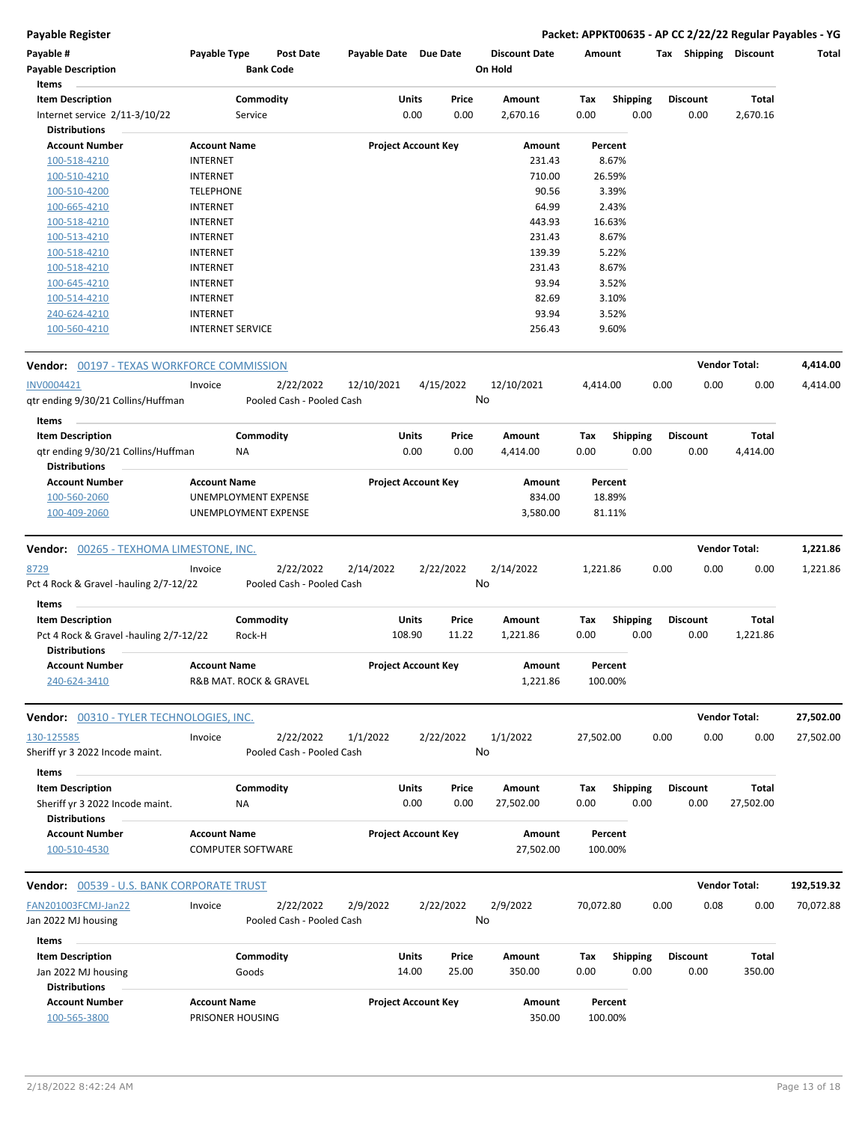**Payable Register Packet: APPKT00635 - AP CC 2/22/22 Regular Payables - YG**

| Payable #<br><b>Payable Description</b>                        | Payable Type             |           | Post Date<br><b>Bank Code</b>          | Payable Date Due Date |              |                            | <b>Discount Date</b><br>On Hold | Amount    |                 | Tax  | <b>Shipping</b> | <b>Discount</b>      | Total      |
|----------------------------------------------------------------|--------------------------|-----------|----------------------------------------|-----------------------|--------------|----------------------------|---------------------------------|-----------|-----------------|------|-----------------|----------------------|------------|
| Items                                                          |                          |           |                                        |                       |              |                            |                                 |           |                 |      |                 |                      |            |
| <b>Item Description</b>                                        |                          | Commodity |                                        |                       | Units        | Price                      | Amount                          | Tax       | <b>Shipping</b> |      | <b>Discount</b> | Total                |            |
| Internet service 2/11-3/10/22                                  |                          | Service   |                                        |                       | 0.00         | 0.00                       | 2,670.16                        | 0.00      | 0.00            |      | 0.00            | 2,670.16             |            |
| <b>Distributions</b>                                           |                          |           |                                        |                       |              |                            |                                 |           |                 |      |                 |                      |            |
| <b>Account Number</b>                                          | <b>Account Name</b>      |           |                                        |                       |              | <b>Project Account Key</b> | Amount                          |           | Percent         |      |                 |                      |            |
| 100-518-4210                                                   | <b>INTERNET</b>          |           |                                        |                       |              |                            | 231.43                          |           | 8.67%           |      |                 |                      |            |
| 100-510-4210                                                   | <b>INTERNET</b>          |           |                                        |                       |              |                            | 710.00                          |           | 26.59%          |      |                 |                      |            |
| 100-510-4200                                                   | <b>TELEPHONE</b>         |           |                                        |                       |              |                            | 90.56                           |           | 3.39%           |      |                 |                      |            |
| 100-665-4210                                                   | <b>INTERNET</b>          |           |                                        |                       |              |                            | 64.99                           |           | 2.43%           |      |                 |                      |            |
| 100-518-4210                                                   | <b>INTERNET</b>          |           |                                        |                       |              |                            | 443.93                          |           | 16.63%          |      |                 |                      |            |
| 100-513-4210                                                   | <b>INTERNET</b>          |           |                                        |                       |              |                            | 231.43                          |           | 8.67%           |      |                 |                      |            |
| 100-518-4210                                                   | <b>INTERNET</b>          |           |                                        |                       |              |                            | 139.39                          |           | 5.22%           |      |                 |                      |            |
| 100-518-4210                                                   | <b>INTERNET</b>          |           |                                        |                       |              |                            | 231.43                          |           | 8.67%           |      |                 |                      |            |
| 100-645-4210                                                   | <b>INTERNET</b>          |           |                                        |                       |              |                            | 93.94                           |           | 3.52%           |      |                 |                      |            |
| 100-514-4210                                                   | <b>INTERNET</b>          |           |                                        |                       |              |                            | 82.69                           |           | 3.10%           |      |                 |                      |            |
| 240-624-4210                                                   | <b>INTERNET</b>          |           |                                        |                       |              |                            | 93.94                           |           | 3.52%           |      |                 |                      |            |
| 100-560-4210                                                   | <b>INTERNET SERVICE</b>  |           |                                        |                       |              |                            | 256.43                          |           | 9.60%           |      |                 |                      |            |
| <b>Vendor:</b> 00197 - TEXAS WORKFORCE COMMISSION              |                          |           |                                        |                       |              |                            |                                 |           |                 |      |                 | <b>Vendor Total:</b> | 4,414.00   |
| INV0004421                                                     | Invoice                  |           | 2/22/2022                              | 12/10/2021            |              | 4/15/2022                  | 12/10/2021                      | 4,414.00  |                 | 0.00 | 0.00            | 0.00                 | 4,414.00   |
| gtr ending 9/30/21 Collins/Huffman                             |                          |           | Pooled Cash - Pooled Cash              |                       |              |                            | No                              |           |                 |      |                 |                      |            |
| Items                                                          |                          |           |                                        |                       |              |                            |                                 |           |                 |      |                 |                      |            |
| <b>Item Description</b>                                        |                          | Commodity |                                        |                       | <b>Units</b> | Price                      | Amount                          | Tax       | <b>Shipping</b> |      | <b>Discount</b> | Total                |            |
| qtr ending 9/30/21 Collins/Huffman<br><b>Distributions</b>     |                          | ΝA        |                                        |                       | 0.00         | 0.00                       | 4,414.00                        | 0.00      | 0.00            |      | 0.00            | 4,414.00             |            |
| <b>Account Number</b>                                          | <b>Account Name</b>      |           |                                        |                       |              | <b>Project Account Key</b> | Amount                          |           | Percent         |      |                 |                      |            |
| 100-560-2060                                                   | UNEMPLOYMENT EXPENSE     |           |                                        |                       |              |                            | 834.00                          |           | 18.89%          |      |                 |                      |            |
| 100-409-2060                                                   | UNEMPLOYMENT EXPENSE     |           |                                        |                       |              |                            | 3,580.00                        |           | 81.11%          |      |                 |                      |            |
| <b>Vendor:</b> 00265 - TEXHOMA LIMESTONE, INC.                 |                          |           |                                        |                       |              |                            |                                 |           |                 |      |                 | <b>Vendor Total:</b> | 1,221.86   |
| <u>8729</u><br>Pct 4 Rock & Gravel -hauling 2/7-12/22          | Invoice                  |           | 2/22/2022<br>Pooled Cash - Pooled Cash | 2/14/2022             |              | 2/22/2022                  | 2/14/2022<br>No                 | 1,221.86  |                 | 0.00 | 0.00            | 0.00                 | 1,221.86   |
| Items                                                          |                          |           |                                        |                       |              |                            |                                 |           |                 |      |                 |                      |            |
| <b>Item Description</b>                                        |                          | Commodity |                                        |                       | Units        | Price                      | Amount                          | Tax       | <b>Shipping</b> |      | <b>Discount</b> | <b>Total</b>         |            |
| Pct 4 Rock & Gravel -hauling 2/7-12/22<br><b>Distributions</b> |                          | Rock-H    |                                        |                       | 108.90       | 11.22                      | 1,221.86                        | 0.00      | 0.00            |      | 0.00            | 1,221.86             |            |
| <b>Account Number</b>                                          | <b>Account Name</b>      |           |                                        |                       |              | <b>Project Account Key</b> | Amount                          |           | Percent         |      |                 |                      |            |
| 240-624-3410                                                   | R&B MAT. ROCK & GRAVEL   |           |                                        |                       |              |                            | 1,221.86                        |           | 100.00%         |      |                 |                      |            |
| Vendor: 00310 - TYLER TECHNOLOGIES, INC.                       |                          |           |                                        |                       |              |                            |                                 |           |                 |      |                 | <b>Vendor Total:</b> | 27,502.00  |
| 130-125585                                                     | Invoice                  |           | 2/22/2022                              | 1/1/2022              |              | 2/22/2022                  | 1/1/2022                        | 27,502.00 |                 | 0.00 | 0.00            | 0.00                 | 27,502.00  |
| Sheriff yr 3 2022 Incode maint.<br>Items                       |                          |           | Pooled Cash - Pooled Cash              |                       |              |                            | No                              |           |                 |      |                 |                      |            |
| <b>Item Description</b>                                        |                          | Commodity |                                        |                       | <b>Units</b> | Price                      | Amount                          | Tax       | <b>Shipping</b> |      | <b>Discount</b> | <b>Total</b>         |            |
| Sheriff yr 3 2022 Incode maint.<br><b>Distributions</b>        |                          | NA        |                                        |                       | 0.00         | 0.00                       | 27,502.00                       | 0.00      | 0.00            |      | 0.00            | 27,502.00            |            |
| <b>Account Number</b>                                          | <b>Account Name</b>      |           |                                        |                       |              | <b>Project Account Key</b> | Amount                          |           | Percent         |      |                 |                      |            |
| 100-510-4530                                                   | <b>COMPUTER SOFTWARE</b> |           |                                        |                       |              |                            | 27,502.00                       |           | 100.00%         |      |                 |                      |            |
| <b>Vendor:</b> 00539 - U.S. BANK CORPORATE TRUST               |                          |           |                                        |                       |              |                            |                                 |           |                 |      |                 | <b>Vendor Total:</b> | 192,519.32 |
| FAN201003FCMJ-Jan22                                            | Invoice                  |           | 2/22/2022                              | 2/9/2022              |              | 2/22/2022                  | 2/9/2022                        | 70,072.80 |                 | 0.00 | 0.08            | 0.00                 | 70,072.88  |
| Jan 2022 MJ housing                                            |                          |           | Pooled Cash - Pooled Cash              |                       |              |                            | No                              |           |                 |      |                 |                      |            |
| Items                                                          |                          |           |                                        |                       |              |                            |                                 |           |                 |      |                 |                      |            |
| <b>Item Description</b>                                        |                          | Commodity |                                        |                       | <b>Units</b> | Price                      | Amount                          | Tax       | <b>Shipping</b> |      | <b>Discount</b> | Total                |            |
| Jan 2022 MJ housing<br><b>Distributions</b>                    |                          | Goods     |                                        |                       | 14.00        | 25.00                      | 350.00                          | 0.00      | 0.00            |      | 0.00            | 350.00               |            |
| <b>Account Number</b>                                          | <b>Account Name</b>      |           |                                        |                       |              | <b>Project Account Key</b> | Amount                          |           | Percent         |      |                 |                      |            |
| 100-565-3800                                                   | PRISONER HOUSING         |           |                                        |                       |              |                            | 350.00                          |           | 100.00%         |      |                 |                      |            |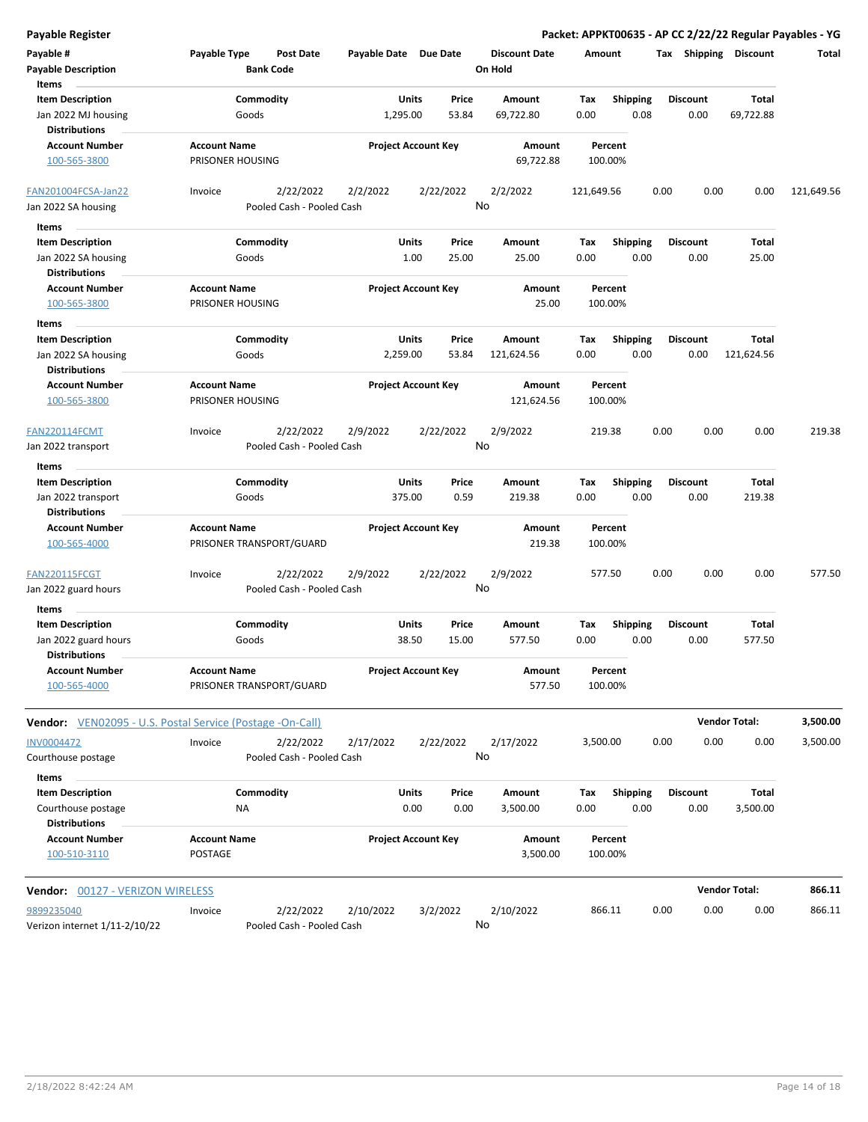| <b>Payable Register</b>                                               |                     |                                         |                                        |                            |                            |                      |                                 |             |                         |      |                         |                       | Packet: APPKT00635 - AP CC 2/22/22 Regular Payables - YG |
|-----------------------------------------------------------------------|---------------------|-----------------------------------------|----------------------------------------|----------------------------|----------------------------|----------------------|---------------------------------|-------------|-------------------------|------|-------------------------|-----------------------|----------------------------------------------------------|
| Payable #<br><b>Payable Description</b>                               | Payable Type        |                                         | <b>Post Date</b><br><b>Bank Code</b>   | Payable Date Due Date      |                            |                      | <b>Discount Date</b><br>On Hold | Amount      |                         |      |                         | Tax Shipping Discount | Total                                                    |
| Items                                                                 |                     |                                         |                                        |                            |                            |                      |                                 |             |                         |      |                         |                       |                                                          |
| <b>Item Description</b><br>Jan 2022 MJ housing                        |                     | Commodity<br>Goods                      |                                        |                            | Units<br>1,295.00          | Price<br>53.84       | Amount<br>69,722.80             | Tax<br>0.00 | <b>Shipping</b><br>0.08 |      | <b>Discount</b><br>0.00 | Total<br>69,722.88    |                                                          |
| <b>Distributions</b><br><b>Account Number</b>                         | <b>Account Name</b> |                                         |                                        |                            | <b>Project Account Key</b> |                      | Amount                          |             | Percent                 |      |                         |                       |                                                          |
| 100-565-3800                                                          | PRISONER HOUSING    |                                         |                                        |                            |                            |                      | 69,722.88                       | 100.00%     |                         |      |                         |                       |                                                          |
| FAN201004FCSA-Jan22                                                   | Invoice             |                                         | 2/22/2022                              | 2/2/2022                   |                            | 2/22/2022            | 2/2/2022                        | 121,649.56  |                         | 0.00 | 0.00                    | 0.00                  | 121,649.56                                               |
| Jan 2022 SA housing                                                   |                     |                                         | Pooled Cash - Pooled Cash              |                            |                            | No                   |                                 |             |                         |      |                         |                       |                                                          |
| Items                                                                 |                     |                                         |                                        |                            |                            |                      |                                 |             |                         |      |                         |                       |                                                          |
| <b>Item Description</b>                                               |                     | Commodity                               |                                        |                            | Units                      | Price                | Amount                          | Tax         | <b>Shipping</b>         |      | <b>Discount</b>         | Total                 |                                                          |
| Jan 2022 SA housing<br><b>Distributions</b>                           |                     | Goods                                   |                                        |                            | 1.00                       | 25.00                | 25.00                           | 0.00        | 0.00                    |      | 0.00                    | 25.00                 |                                                          |
| <b>Account Number</b>                                                 | <b>Account Name</b> |                                         |                                        |                            | <b>Project Account Key</b> |                      | Amount                          |             | Percent                 |      |                         |                       |                                                          |
| 100-565-3800                                                          | PRISONER HOUSING    |                                         |                                        |                            |                            |                      | 25.00                           | 100.00%     |                         |      |                         |                       |                                                          |
| Items                                                                 |                     |                                         |                                        |                            |                            |                      |                                 |             |                         |      |                         |                       |                                                          |
| <b>Item Description</b>                                               |                     | Commodity                               |                                        |                            | Units                      | Price                | Amount                          | Tax         | Shipping                |      | <b>Discount</b>         | Total                 |                                                          |
| Jan 2022 SA housing                                                   |                     | Goods                                   |                                        |                            | 2,259.00                   | 53.84                | 121,624.56                      | 0.00        | 0.00                    |      | 0.00                    | 121,624.56            |                                                          |
| <b>Distributions</b>                                                  |                     |                                         |                                        |                            |                            |                      |                                 |             |                         |      |                         |                       |                                                          |
| <b>Account Number</b><br>100-565-3800                                 |                     | <b>Account Name</b><br>PRISONER HOUSING |                                        | <b>Project Account Key</b> |                            | Amount<br>121,624.56 | Percent<br>100.00%              |             |                         |      |                         |                       |                                                          |
| <b>FAN220114FCMT</b>                                                  | Invoice             |                                         | 2/22/2022                              | 2/9/2022                   |                            | 2/22/2022            | 2/9/2022                        | 219.38      |                         | 0.00 | 0.00                    | 0.00                  | 219.38                                                   |
| Jan 2022 transport                                                    |                     |                                         | Pooled Cash - Pooled Cash              |                            |                            | No                   |                                 |             |                         |      |                         |                       |                                                          |
| Items                                                                 |                     |                                         |                                        |                            |                            |                      |                                 |             |                         |      |                         |                       |                                                          |
| <b>Item Description</b><br>Jan 2022 transport<br><b>Distributions</b> |                     | Commodity<br>Goods                      |                                        |                            | Units<br>375.00            | Price<br>0.59        | Amount<br>219.38                | Tax<br>0.00 | <b>Shipping</b><br>0.00 |      | <b>Discount</b><br>0.00 | Total<br>219.38       |                                                          |
| <b>Account Number</b>                                                 | <b>Account Name</b> |                                         |                                        |                            | <b>Project Account Key</b> |                      | Amount                          |             | Percent                 |      |                         |                       |                                                          |
| 100-565-4000                                                          |                     |                                         | PRISONER TRANSPORT/GUARD               |                            |                            |                      | 219.38                          | 100.00%     |                         |      |                         |                       |                                                          |
| <b>FAN220115FCGT</b><br>Jan 2022 guard hours                          | Invoice             |                                         | 2/22/2022<br>Pooled Cash - Pooled Cash | 2/9/2022                   |                            | 2/22/2022<br>No      | 2/9/2022                        | 577.50      |                         | 0.00 | 0.00                    | 0.00                  | 577.50                                                   |
| Items                                                                 |                     |                                         |                                        |                            |                            |                      |                                 |             |                         |      |                         |                       |                                                          |
| <b>Item Description</b><br>Jan 2022 guard hours                       |                     | Commodity<br>Goods                      |                                        |                            | Units<br>38.50             | Price<br>15.00       | Amount<br>577.50                | Tax<br>0.00 | <b>Shipping</b><br>0.00 |      | <b>Discount</b><br>0.00 | Total<br>577.50       |                                                          |
| <b>Distributions</b><br><b>Account Number</b><br>100-565-4000         | <b>Account Name</b> |                                         | PRISONER TRANSPORT/GUARD               |                            | <b>Project Account Key</b> |                      | Amount<br>577.50                | 100.00%     | Percent                 |      |                         |                       |                                                          |
|                                                                       |                     |                                         |                                        |                            |                            |                      |                                 |             |                         |      |                         | <b>Vendor Total:</b>  |                                                          |
| <b>Vendor:</b> VEN02095 - U.S. Postal Service (Postage -On-Call)      |                     |                                         |                                        |                            |                            |                      |                                 |             |                         |      |                         |                       | 3,500.00                                                 |
| <b>INV0004472</b>                                                     | Invoice             |                                         | 2/22/2022                              | 2/17/2022                  |                            | 2/22/2022            | 2/17/2022                       | 3,500.00    |                         | 0.00 | 0.00                    | 0.00                  | 3,500.00                                                 |
| Courthouse postage                                                    |                     |                                         | Pooled Cash - Pooled Cash              |                            |                            |                      | No                              |             |                         |      |                         |                       |                                                          |
| Items                                                                 |                     |                                         |                                        |                            |                            |                      |                                 |             |                         |      |                         |                       |                                                          |
| <b>Item Description</b>                                               |                     | Commodity                               |                                        |                            | Units                      | Price                | Amount                          | Tax         | <b>Shipping</b>         |      | <b>Discount</b>         | Total                 |                                                          |
| Courthouse postage                                                    |                     | ΝA                                      |                                        |                            | 0.00                       | 0.00                 | 3,500.00                        | 0.00        | 0.00                    |      | 0.00                    | 3,500.00              |                                                          |
| <b>Distributions</b><br><b>Account Number</b>                         | <b>Account Name</b> |                                         |                                        |                            | <b>Project Account Key</b> |                      | Amount                          |             | Percent                 |      |                         |                       |                                                          |
| 100-510-3110                                                          | <b>POSTAGE</b>      |                                         |                                        |                            |                            |                      | 3,500.00                        | 100.00%     |                         |      |                         |                       |                                                          |
| <b>Vendor: 00127 - VERIZON WIRELESS</b>                               |                     |                                         |                                        |                            |                            |                      |                                 |             |                         |      |                         | <b>Vendor Total:</b>  | 866.11                                                   |
| 9899235040                                                            | Invoice             |                                         | 2/22/2022                              | 2/10/2022                  |                            | 3/2/2022             | 2/10/2022                       | 866.11      |                         | 0.00 | 0.00                    | 0.00                  | 866.11                                                   |
| Verizon internet 1/11-2/10/22                                         |                     |                                         | Pooled Cash - Pooled Cash              |                            |                            |                      | No                              |             |                         |      |                         |                       |                                                          |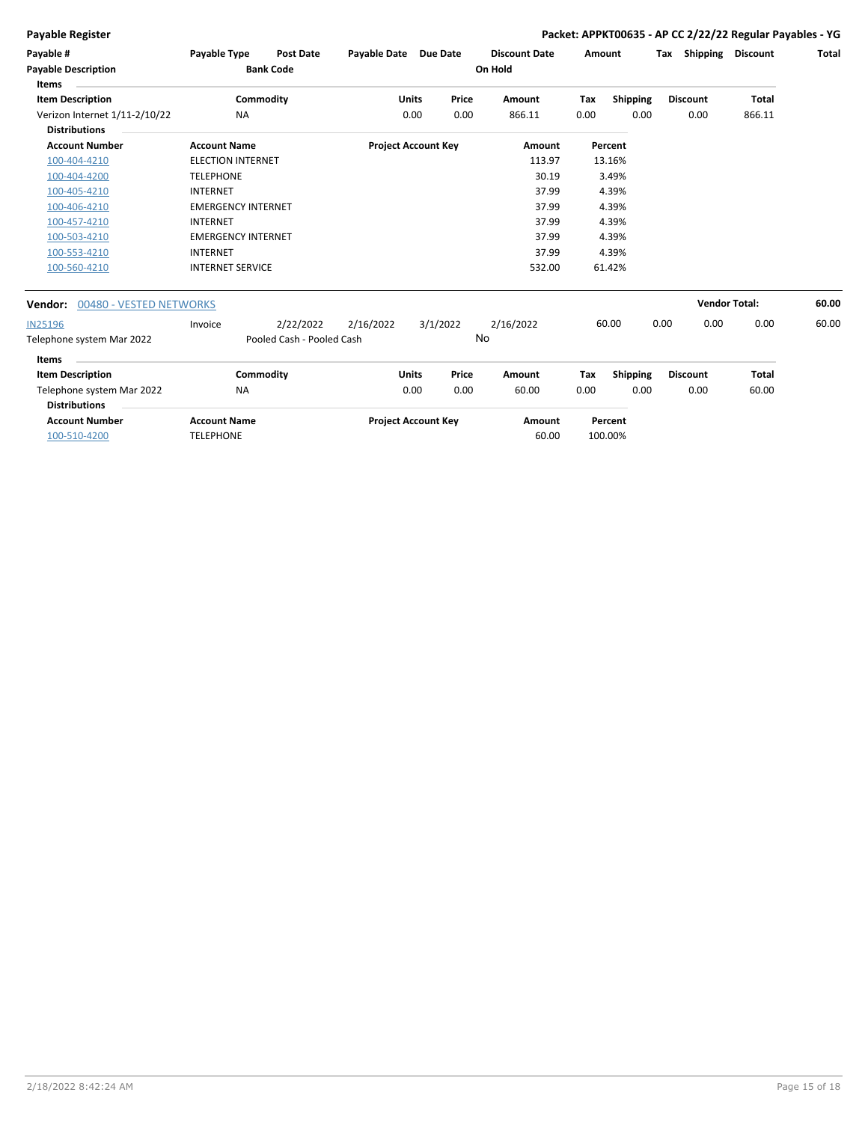### **Payable Register Packet: APPKT00635 - AP CC 2/22/22 Regular Payables - YG**

| Payable #                                             | Payable Type              | <b>Post Date</b>          | Payable Date Due Date |                            |      | <b>Discount Date</b> | Amount |                 | Tax             | Shipping             | <b>Discount</b> | Total |
|-------------------------------------------------------|---------------------------|---------------------------|-----------------------|----------------------------|------|----------------------|--------|-----------------|-----------------|----------------------|-----------------|-------|
| <b>Payable Description</b><br>Items                   |                           | <b>Bank Code</b>          |                       |                            |      | On Hold              |        |                 |                 |                      |                 |       |
| <b>Item Description</b>                               |                           | Commodity                 |                       | Price<br><b>Units</b>      |      | Amount               | Tax    | Shipping        | <b>Discount</b> |                      | <b>Total</b>    |       |
| Verizon Internet 1/11-2/10/22<br><b>Distributions</b> | <b>NA</b>                 |                           |                       | 0.00                       | 0.00 | 866.11               | 0.00   | 0.00            |                 | 0.00                 | 866.11          |       |
| <b>Account Number</b>                                 | <b>Account Name</b>       |                           |                       | <b>Project Account Key</b> |      | Amount               |        | Percent         |                 |                      |                 |       |
| 100-404-4210                                          | <b>ELECTION INTERNET</b>  |                           |                       |                            |      | 113.97               |        | 13.16%          |                 |                      |                 |       |
| 100-404-4200                                          | <b>TELEPHONE</b>          |                           |                       |                            |      | 30.19                |        | 3.49%           |                 |                      |                 |       |
| 100-405-4210                                          | <b>INTERNET</b>           |                           |                       |                            |      | 37.99                |        | 4.39%           |                 |                      |                 |       |
| 100-406-4210                                          | <b>EMERGENCY INTERNET</b> |                           |                       |                            |      | 37.99                |        | 4.39%           |                 |                      |                 |       |
| 100-457-4210                                          | <b>INTERNET</b>           |                           |                       |                            |      | 37.99                |        | 4.39%           |                 |                      |                 |       |
| 100-503-4210                                          | <b>EMERGENCY INTERNET</b> |                           |                       |                            |      | 37.99                |        | 4.39%           |                 |                      |                 |       |
| 100-553-4210                                          | <b>INTERNET</b>           |                           |                       |                            |      | 37.99                |        | 4.39%           |                 |                      |                 |       |
| 100-560-4210                                          | <b>INTERNET SERVICE</b>   |                           |                       |                            |      | 532.00               |        | 61.42%          |                 |                      |                 |       |
| 00480 - VESTED NETWORKS<br>Vendor:                    |                           |                           |                       |                            |      |                      |        |                 |                 | <b>Vendor Total:</b> |                 | 60.00 |
| <b>IN25196</b>                                        | Invoice                   | 2/22/2022                 | 2/16/2022             | 3/1/2022                   |      | 2/16/2022            |        | 60.00           | 0.00            | 0.00                 | 0.00            | 60.00 |
| Telephone system Mar 2022                             |                           | Pooled Cash - Pooled Cash |                       |                            | No   |                      |        |                 |                 |                      |                 |       |
| Items                                                 |                           |                           |                       |                            |      |                      |        |                 |                 |                      |                 |       |
| <b>Item Description</b>                               |                           | Commodity                 |                       | Price<br><b>Units</b>      |      | Amount               | Tax    | <b>Shipping</b> | <b>Discount</b> |                      | Total           |       |
| Telephone system Mar 2022                             | NA                        |                           |                       | 0.00                       | 0.00 | 60.00                | 0.00   | 0.00            |                 | 0.00                 | 60.00           |       |

| <b>Distributions</b>  |                     |                            |        |         |
|-----------------------|---------------------|----------------------------|--------|---------|
| <b>Account Number</b> | <b>Account Name</b> | <b>Project Account Key</b> | Amount | Percent |
| 100-510-4200          | <b>TELEPHONE</b>    |                            | 60.00  | 100.00% |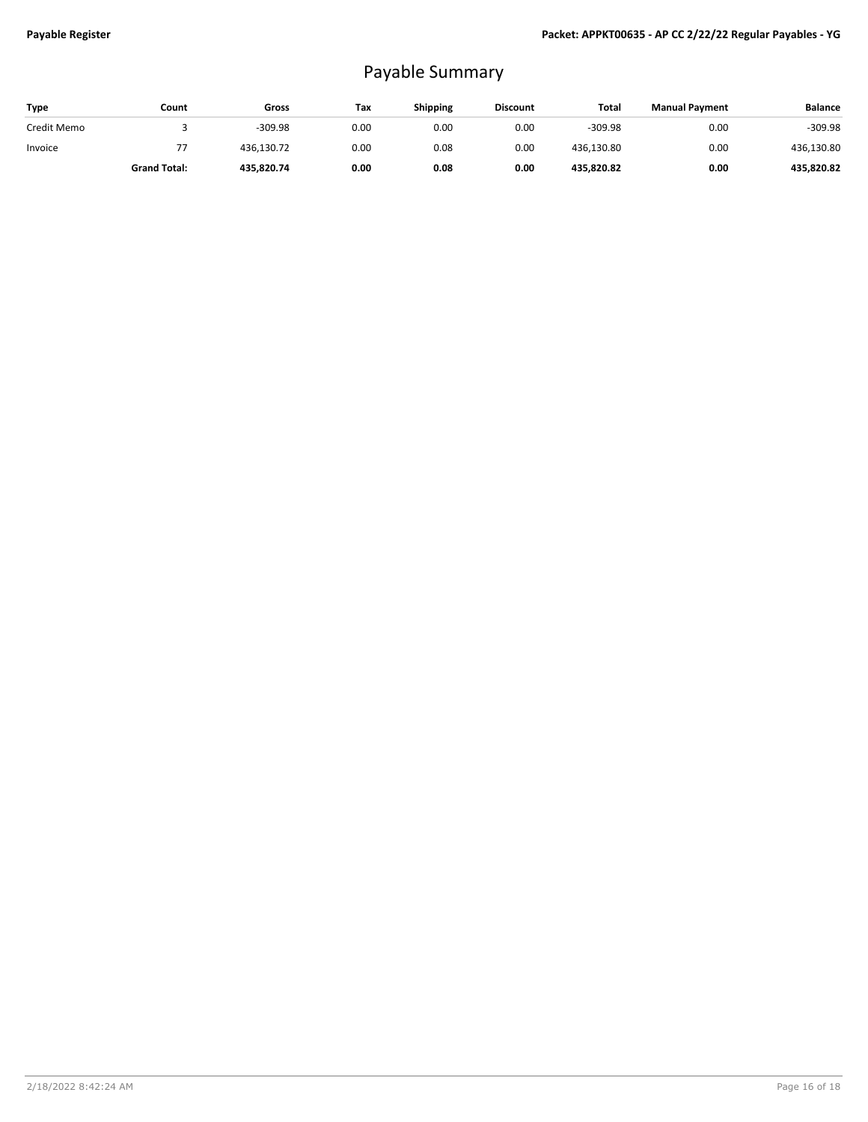## Payable Summary

| Type        | Count               | Gross      | Tax  | <b>Shipping</b> | <b>Discount</b> | Total      | <b>Manual Payment</b> | <b>Balance</b> |
|-------------|---------------------|------------|------|-----------------|-----------------|------------|-----------------------|----------------|
| Credit Memo |                     | $-309.98$  | 0.00 | 0.00            | 0.00            | $-309.98$  | 0.00                  | $-309.98$      |
| Invoice     | 77                  | 436,130.72 | 0.00 | 0.08            | 0.00            | 436,130.80 | 0.00                  | 436,130.80     |
|             | <b>Grand Total:</b> | 435.820.74 | 0.00 | 0.08            | 0.00            | 435,820.82 | 0.00                  | 435.820.82     |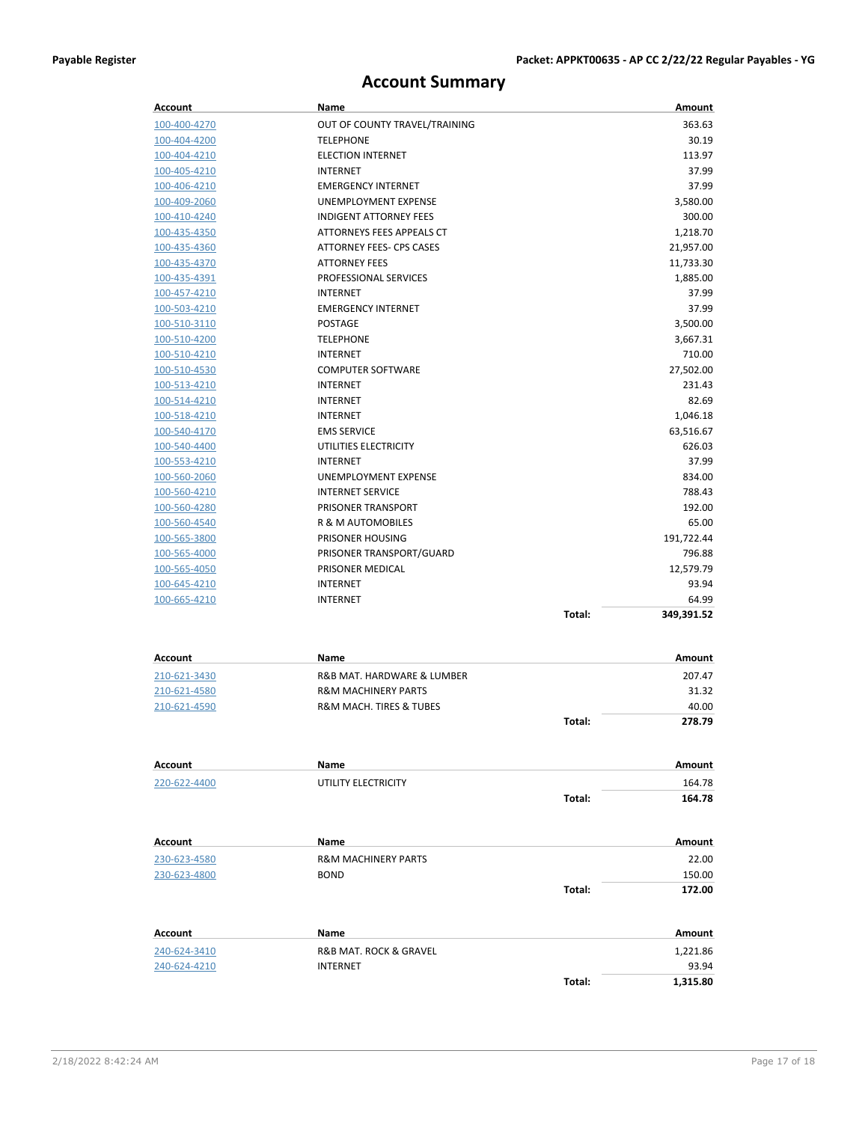## **Account Summary**

| <b>Account</b>      | Name                                   |        | Amount     |
|---------------------|----------------------------------------|--------|------------|
| 100-400-4270        | OUT OF COUNTY TRAVEL/TRAINING          |        | 363.63     |
| 100-404-4200        | <b>TELEPHONE</b>                       |        | 30.19      |
| 100-404-4210        | <b>ELECTION INTERNET</b>               |        | 113.97     |
| 100-405-4210        | <b>INTERNET</b>                        |        | 37.99      |
| 100-406-4210        | <b>EMERGENCY INTERNET</b>              |        | 37.99      |
| 100-409-2060        | UNEMPLOYMENT EXPENSE                   |        | 3,580.00   |
| 100-410-4240        | <b>INDIGENT ATTORNEY FEES</b>          |        | 300.00     |
| 100-435-4350        | ATTORNEYS FEES APPEALS CT              |        | 1,218.70   |
| 100-435-4360        | ATTORNEY FEES- CPS CASES               |        | 21,957.00  |
| 100-435-4370        | <b>ATTORNEY FEES</b>                   |        | 11,733.30  |
| 100-435-4391        | PROFESSIONAL SERVICES                  |        | 1,885.00   |
| 100-457-4210        | INTERNET                               |        | 37.99      |
| 100-503-4210        | <b>EMERGENCY INTERNET</b>              |        | 37.99      |
| 100-510-3110        | <b>POSTAGE</b>                         |        | 3,500.00   |
| 100-510-4200        | <b>TELEPHONE</b>                       |        | 3,667.31   |
| 100-510-4210        | INTERNET                               |        | 710.00     |
| 100-510-4530        | <b>COMPUTER SOFTWARE</b>               |        | 27,502.00  |
| 100-513-4210        | <b>INTERNET</b>                        |        | 231.43     |
| 100-514-4210        | INTERNET                               |        | 82.69      |
| 100-518-4210        | <b>INTERNET</b>                        |        | 1,046.18   |
| 100-540-4170        | <b>EMS SERVICE</b>                     |        | 63,516.67  |
| 100-540-4400        | UTILITIES ELECTRICITY                  |        | 626.03     |
| 100-553-4210        | <b>INTERNET</b>                        |        | 37.99      |
| 100-560-2060        | UNEMPLOYMENT EXPENSE                   |        | 834.00     |
| 100-560-4210        | <b>INTERNET SERVICE</b>                |        | 788.43     |
| 100-560-4280        | PRISONER TRANSPORT                     |        | 192.00     |
| 100-560-4540        | R & M AUTOMOBILES                      |        | 65.00      |
| 100-565-3800        | PRISONER HOUSING                       |        | 191,722.44 |
| 100-565-4000        | PRISONER TRANSPORT/GUARD               |        | 796.88     |
| 100-565-4050        | PRISONER MEDICAL                       |        | 12,579.79  |
| 100-645-4210        | INTERNET                               |        | 93.94      |
| 100-665-4210        | <b>INTERNET</b>                        |        | 64.99      |
|                     |                                        | Total: | 349,391.52 |
|                     |                                        |        |            |
| <b>Account</b>      | Name                                   |        | Amount     |
| 210-621-3430        | R&B MAT. HARDWARE & LUMBER             |        | 207.47     |
| <u>210-621-4580</u> | <b>R&amp;M MACHINERY PARTS</b>         |        | 31.32      |
| 210-621-4590        | <b>R&amp;M MACH. TIRES &amp; TUBES</b> |        | 40.00      |
|                     |                                        | Total: | 278.79     |
|                     |                                        |        |            |
| Account             | Name                                   |        | Amount     |
| 220-622-4400        | UTILITY ELECTRICITY                    |        | 164.78     |
|                     |                                        | Total: | 164.78     |
|                     |                                        |        |            |
| Account             | Name                                   |        | Amount     |
| 230-623-4580        | <b>R&amp;M MACHINERY PARTS</b>         |        | 22.00      |
| 230-623-4800        | <b>BOND</b>                            |        | 150.00     |
|                     |                                        | Total: | 172.00     |
|                     |                                        |        |            |
| Account             | Name                                   |        | Amount     |
| 240-624-3410        | R&B MAT. ROCK & GRAVEL                 |        | 1,221.86   |
| 240-624-4210        | <b>INTERNET</b>                        |        | 93.94      |
|                     |                                        | Total: | 1,315.80   |